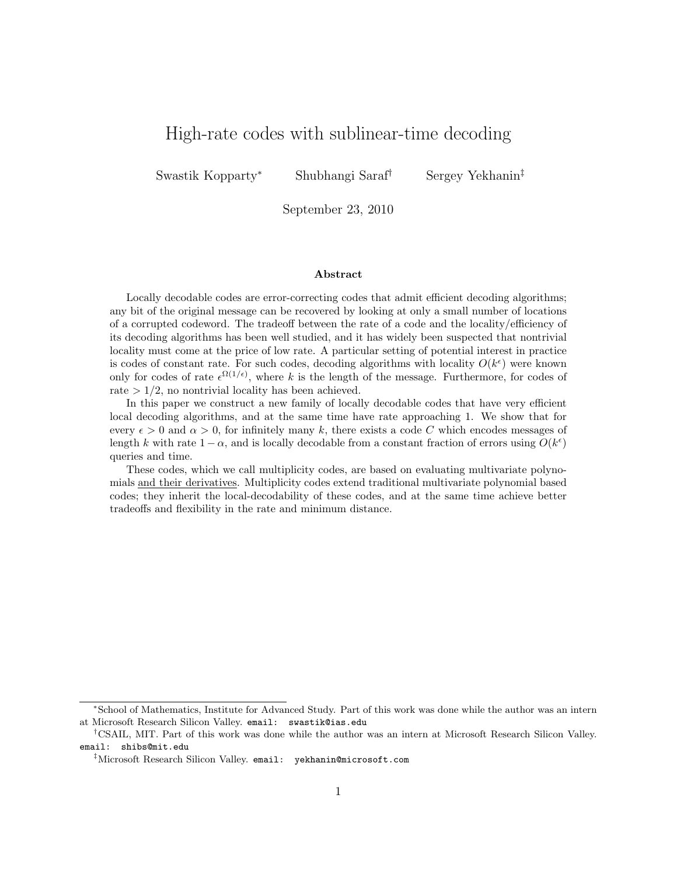# High-rate codes with sublinear-time decoding

Swastik Kopparty<sup>∗</sup> Shubhangi Saraf† Sergey Yekhanin‡

September 23, 2010

#### Abstract

Locally decodable codes are error-correcting codes that admit efficient decoding algorithms; any bit of the original message can be recovered by looking at only a small number of locations of a corrupted codeword. The tradeoff between the rate of a code and the locality/efficiency of its decoding algorithms has been well studied, and it has widely been suspected that nontrivial locality must come at the price of low rate. A particular setting of potential interest in practice is codes of constant rate. For such codes, decoding algorithms with locality  $O(k^{\epsilon})$  were known only for codes of rate  $\epsilon^{\Omega(1/\epsilon)}$ , where k is the length of the message. Furthermore, for codes of rate  $> 1/2$ , no nontrivial locality has been achieved.

In this paper we construct a new family of locally decodable codes that have very efficient local decoding algorithms, and at the same time have rate approaching 1. We show that for every  $\epsilon > 0$  and  $\alpha > 0$ , for infinitely many k, there exists a code C which encodes messages of length k with rate  $1 - \alpha$ , and is locally decodable from a constant fraction of errors using  $O(k^{\epsilon})$ queries and time.

These codes, which we call multiplicity codes, are based on evaluating multivariate polynomials and their derivatives. Multiplicity codes extend traditional multivariate polynomial based codes; they inherit the local-decodability of these codes, and at the same time achieve better tradeoffs and flexibility in the rate and minimum distance.

<sup>∗</sup>School of Mathematics, Institute for Advanced Study. Part of this work was done while the author was an intern at Microsoft Research Silicon Valley. email: swastik@ias.edu

<sup>†</sup>CSAIL, MIT. Part of this work was done while the author was an intern at Microsoft Research Silicon Valley. email: shibs@mit.edu

<sup>‡</sup>Microsoft Research Silicon Valley. email: yekhanin@microsoft.com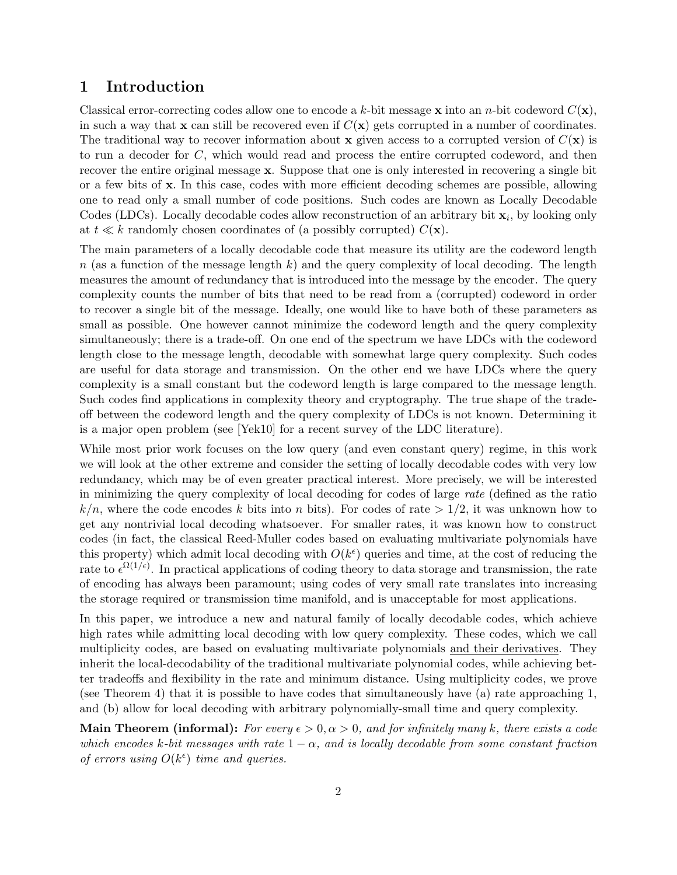# 1 Introduction

Classical error-correcting codes allow one to encode a k-bit message x into an n-bit codeword  $C(\mathbf{x})$ , in such a way that  $\bf{x}$  can still be recovered even if  $C(\bf{x})$  gets corrupted in a number of coordinates. The traditional way to recover information about **x** given access to a corrupted version of  $C(\mathbf{x})$  is to run a decoder for C, which would read and process the entire corrupted codeword, and then recover the entire original message x. Suppose that one is only interested in recovering a single bit or a few bits of x. In this case, codes with more efficient decoding schemes are possible, allowing one to read only a small number of code positions. Such codes are known as Locally Decodable Codes (LDCs). Locally decodable codes allow reconstruction of an arbitrary bit  $\mathbf{x}_i$ , by looking only at  $t \ll k$  randomly chosen coordinates of (a possibly corrupted)  $C(\mathbf{x})$ .

The main parameters of a locally decodable code that measure its utility are the codeword length  $n$  (as a function of the message length k) and the query complexity of local decoding. The length measures the amount of redundancy that is introduced into the message by the encoder. The query complexity counts the number of bits that need to be read from a (corrupted) codeword in order to recover a single bit of the message. Ideally, one would like to have both of these parameters as small as possible. One however cannot minimize the codeword length and the query complexity simultaneously; there is a trade-off. On one end of the spectrum we have LDCs with the codeword length close to the message length, decodable with somewhat large query complexity. Such codes are useful for data storage and transmission. On the other end we have LDCs where the query complexity is a small constant but the codeword length is large compared to the message length. Such codes find applications in complexity theory and cryptography. The true shape of the tradeoff between the codeword length and the query complexity of LDCs is not known. Determining it is a major open problem (see [Yek10] for a recent survey of the LDC literature).

While most prior work focuses on the low query (and even constant query) regime, in this work we will look at the other extreme and consider the setting of locally decodable codes with very low redundancy, which may be of even greater practical interest. More precisely, we will be interested in minimizing the query complexity of local decoding for codes of large rate (defined as the ratio  $k/n$ , where the code encodes k bits into n bits). For codes of rate  $> 1/2$ , it was unknown how to get any nontrivial local decoding whatsoever. For smaller rates, it was known how to construct codes (in fact, the classical Reed-Muller codes based on evaluating multivariate polynomials have this property) which admit local decoding with  $O(k^{\epsilon})$  queries and time, at the cost of reducing the rate to  $\epsilon^{\Omega(1/\epsilon)}$ . In practical applications of coding theory to data storage and transmission, the rate of encoding has always been paramount; using codes of very small rate translates into increasing the storage required or transmission time manifold, and is unacceptable for most applications.

In this paper, we introduce a new and natural family of locally decodable codes, which achieve high rates while admitting local decoding with low query complexity. These codes, which we call multiplicity codes, are based on evaluating multivariate polynomials and their derivatives. They inherit the local-decodability of the traditional multivariate polynomial codes, while achieving better tradeoffs and flexibility in the rate and minimum distance. Using multiplicity codes, we prove (see Theorem 4) that it is possible to have codes that simultaneously have (a) rate approaching 1, and (b) allow for local decoding with arbitrary polynomially-small time and query complexity.

Main Theorem (informal): For every  $\epsilon > 0, \alpha > 0$ , and for infinitely many k, there exists a code which encodes k-bit messages with rate  $1 - \alpha$ , and is locally decodable from some constant fraction of errors using  $O(k^{\epsilon})$  time and queries.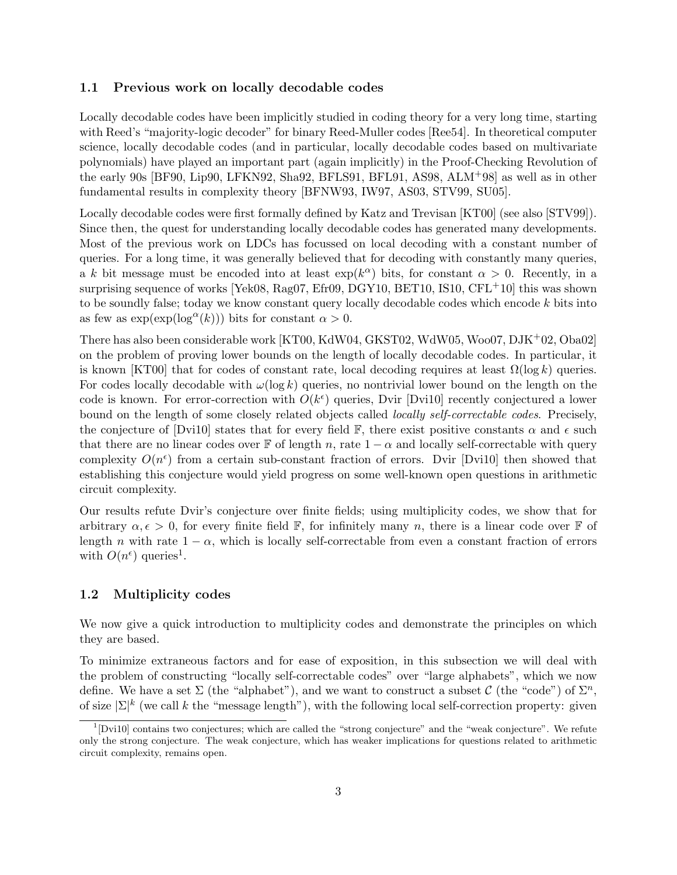### 1.1 Previous work on locally decodable codes

Locally decodable codes have been implicitly studied in coding theory for a very long time, starting with Reed's "majority-logic decoder" for binary Reed-Muller codes [Ree54]. In theoretical computer science, locally decodable codes (and in particular, locally decodable codes based on multivariate polynomials) have played an important part (again implicitly) in the Proof-Checking Revolution of the early 90s [BF90, Lip90, LFKN92, Sha92, BFLS91, BFL91, AS98, ALM+98] as well as in other fundamental results in complexity theory [BFNW93, IW97, AS03, STV99, SU05].

Locally decodable codes were first formally defined by Katz and Trevisan [KT00] (see also [STV99]). Since then, the quest for understanding locally decodable codes has generated many developments. Most of the previous work on LDCs has focussed on local decoding with a constant number of queries. For a long time, it was generally believed that for decoding with constantly many queries, a k bit message must be encoded into at least  $\exp(k^{\alpha})$  bits, for constant  $\alpha > 0$ . Recently, in a surprising sequence of works [Yek08, Rag07, Efr09, DGY10, BET10, IS10, CFL+10] this was shown to be soundly false; today we know constant query locally decodable codes which encode  $k$  bits into as few as  $\exp(\exp(\log^{\alpha}(k)))$  bits for constant  $\alpha > 0$ .

There has also been considerable work [KT00, KdW04, GKST02, WdW05, Woo07, DJK+02, Oba02] on the problem of proving lower bounds on the length of locally decodable codes. In particular, it is known [KT00] that for codes of constant rate, local decoding requires at least  $\Omega(\log k)$  queries. For codes locally decodable with  $\omega(\log k)$  queries, no nontrivial lower bound on the length on the code is known. For error-correction with  $O(k^{\epsilon})$  queries, Dvir [Dvi10] recently conjectured a lower bound on the length of some closely related objects called locally self-correctable codes. Precisely, the conjecture of [Dvi10] states that for every field F, there exist positive constants  $\alpha$  and  $\epsilon$  such that there are no linear codes over  $\mathbb F$  of length n, rate  $1 - \alpha$  and locally self-correctable with query complexity  $O(n^{\epsilon})$  from a certain sub-constant fraction of errors. Dvir [Dvi10] then showed that establishing this conjecture would yield progress on some well-known open questions in arithmetic circuit complexity.

Our results refute Dvir's conjecture over finite fields; using multiplicity codes, we show that for arbitrary  $\alpha, \epsilon > 0$ , for every finite field  $\mathbb{F}$ , for infinitely many n, there is a linear code over  $\mathbb{F}$  of length n with rate  $1 - \alpha$ , which is locally self-correctable from even a constant fraction of errors with  $O(n^{\epsilon})$  queries<sup>1</sup>.

### 1.2 Multiplicity codes

We now give a quick introduction to multiplicity codes and demonstrate the principles on which they are based.

To minimize extraneous factors and for ease of exposition, in this subsection we will deal with the problem of constructing "locally self-correctable codes" over "large alphabets", which we now define. We have a set  $\Sigma$  (the "alphabet"), and we want to construct a subset C (the "code") of  $\Sigma^n$ , of size  $|\Sigma|^k$  (we call k the "message length"), with the following local self-correction property: given

<sup>&</sup>lt;sup>1</sup>[Dvi10] contains two conjectures; which are called the "strong conjecture" and the "weak conjecture". We refute only the strong conjecture. The weak conjecture, which has weaker implications for questions related to arithmetic circuit complexity, remains open.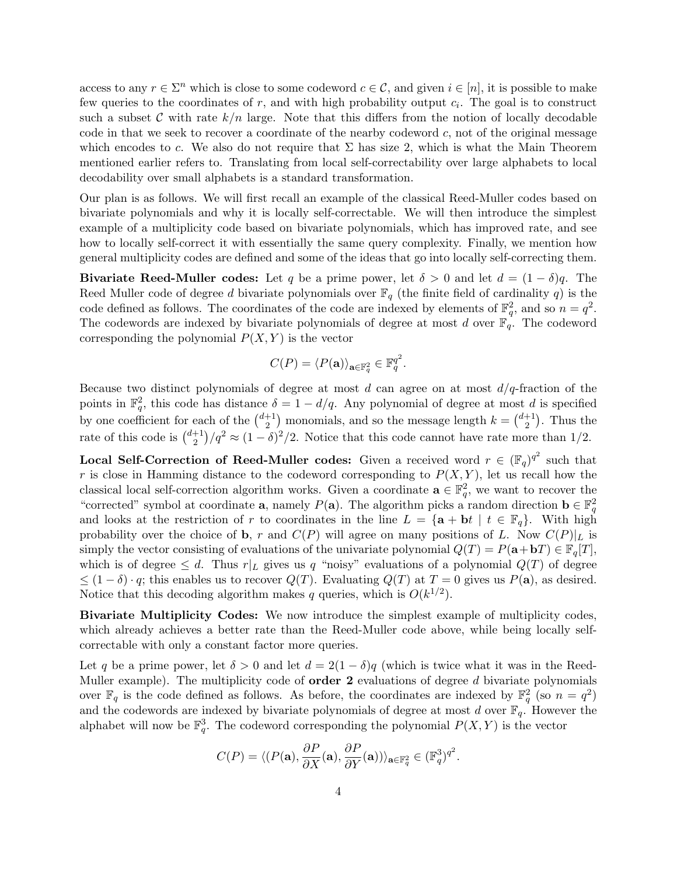access to any  $r \in \Sigma^n$  which is close to some codeword  $c \in \mathcal{C}$ , and given  $i \in [n]$ , it is possible to make few queries to the coordinates of  $r$ , and with high probability output  $c_i$ . The goal is to construct such a subset C with rate  $k/n$  large. Note that this differs from the notion of locally decodable code in that we seek to recover a coordinate of the nearby codeword  $c$ , not of the original message which encodes to c. We also do not require that  $\Sigma$  has size 2, which is what the Main Theorem mentioned earlier refers to. Translating from local self-correctability over large alphabets to local decodability over small alphabets is a standard transformation.

Our plan is as follows. We will first recall an example of the classical Reed-Muller codes based on bivariate polynomials and why it is locally self-correctable. We will then introduce the simplest example of a multiplicity code based on bivariate polynomials, which has improved rate, and see how to locally self-correct it with essentially the same query complexity. Finally, we mention how general multiplicity codes are defined and some of the ideas that go into locally self-correcting them.

**Bivariate Reed-Muller codes:** Let q be a prime power, let  $\delta > 0$  and let  $d = (1 - \delta)q$ . The Reed Muller code of degree d bivariate polynomials over  $\mathbb{F}_q$  (the finite field of cardinality q) is the code defined as follows. The coordinates of the code are indexed by elements of  $\mathbb{F}_q^2$ , and so  $n = q^2$ . The codewords are indexed by bivariate polynomials of degree at most d over  $\mathbb{F}_q$ . The codeword corresponding the polynomial  $P(X, Y)$  is the vector

$$
C(P) = \langle P(\mathbf{a}) \rangle_{\mathbf{a} \in \mathbb{F}_q^2} \in \mathbb{F}_q^{q^2}.
$$

Because two distinct polynomials of degree at most d can agree on at most  $d/q$ -fraction of the points in  $\mathbb{F}_q^2$ , this code has distance  $\delta = 1 - d/q$ . Any polynomial of degree at most d is specified by one coefficient for each of the  $\binom{d+1}{2}$  $\binom{+1}{2}$  monomials, and so the message length  $k = \binom{d+1}{2}$  $\binom{+1}{2}$ . Thus the rate of this code is  $\binom{d+1}{2}$  $\binom{+1}{2}$ / $q^2 \approx (1 - \delta)^2/2$ . Notice that this code cannot have rate more than 1/2.

Local Self-Correction of Reed-Muller codes: Given a received word  $r \in (\mathbb{F}_q)^{q^2}$  such that r is close in Hamming distance to the codeword corresponding to  $P(X, Y)$ , let us recall how the classical local self-correction algorithm works. Given a coordinate  $\mathbf{a} \in \mathbb{F}_q^2$ , we want to recover the "corrected" symbol at coordinate **a**, namely  $P(\mathbf{a})$ . The algorithm picks a random direction  $\mathbf{b} \in \mathbb{F}_q^2$ and looks at the restriction of r to coordinates in the line  $L = {\bf a} + {\bf b}t \mid t \in \mathbb{F}_q$ . With high probability over the choice of **b**, r and  $C(P)$  will agree on many positions of L. Now  $C(P)|_L$  is simply the vector consisting of evaluations of the univariate polynomial  $Q(T) = P(\mathbf{a} + \mathbf{b}T) \in \mathbb{F}_q[T]$ , which is of degree  $\leq d$ . Thus  $r|_L$  gives us q "noisy" evaluations of a polynomial  $Q(T)$  of degree  $\leq (1-\delta) \cdot q$ ; this enables us to recover  $Q(T)$ . Evaluating  $Q(T)$  at  $T=0$  gives us  $P(\mathbf{a})$ , as desired. Notice that this decoding algorithm makes q queries, which is  $O(k^{1/2})$ .

Bivariate Multiplicity Codes: We now introduce the simplest example of multiplicity codes, which already achieves a better rate than the Reed-Muller code above, while being locally selfcorrectable with only a constant factor more queries.

Let q be a prime power, let  $\delta > 0$  and let  $d = 2(1 - \delta)q$  (which is twice what it was in the Reed-Muller example). The multiplicity code of **order 2** evaluations of degree  $d$  bivariate polynomials over  $\mathbb{F}_q$  is the code defined as follows. As before, the coordinates are indexed by  $\mathbb{F}_q^2$  (so  $n = q^2$ ) and the codewords are indexed by bivariate polynomials of degree at most d over  $\mathbb{F}_q$ . However the alphabet will now be  $\mathbb{F}_q^3$ . The codeword corresponding the polynomial  $P(X,Y)$  is the vector

$$
C(P) = \langle (P(\mathbf{a}), \frac{\partial P}{\partial X}(\mathbf{a}), \frac{\partial P}{\partial Y}(\mathbf{a})) \rangle_{\mathbf{a} \in \mathbb{F}_q^2} \in (\mathbb{F}_q^3)^{q^2}.
$$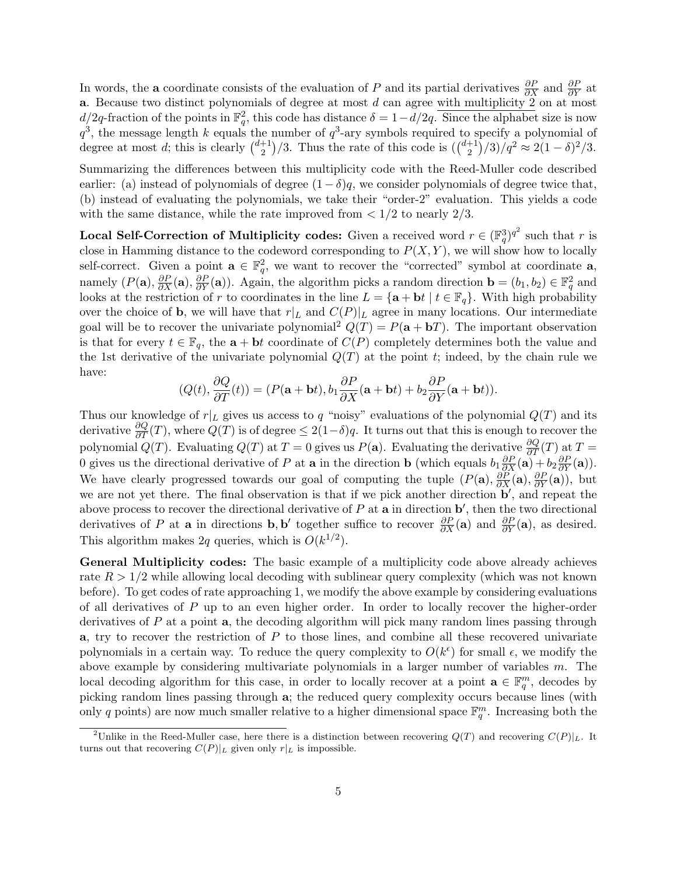In words, the **a** coordinate consists of the evaluation of P and its partial derivatives  $\frac{\partial P}{\partial X}$  and  $\frac{\partial P}{\partial Y}$  at a. Because two distinct polynomials of degree at most  $d$  can agree with multiplicity 2 on at most  $d/2q$ -fraction of the points in  $\mathbb{F}_q^2$ , this code has distance  $\delta = 1 - d/2q$ . Since the alphabet size is now  $q^3$ , the message length k equals the number of  $q^3$ -ary symbols required to specify a polynomial of degree at most d; this is clearly  $\binom{d+1}{2}$  $\binom{+1}{2}$ /3. Thus the rate of this code is  $\binom{d+1}{2}$  $\binom{+1}{2}/3/\sqrt{q^2} \approx 2(1-\delta)^2/3.$ 

Summarizing the differences between this multiplicity code with the Reed-Muller code described earlier: (a) instead of polynomials of degree  $(1 - \delta)q$ , we consider polynomials of degree twice that, (b) instead of evaluating the polynomials, we take their "order-2" evaluation. This yields a code with the same distance, while the rate improved from  $\langle 1/2 \rangle$  to nearly  $\langle 2/3 \rangle$ .

Local Self-Correction of Multiplicity codes: Given a received word  $r \in (\mathbb{F}_q^3)^{q^2}$  such that r is close in Hamming distance to the codeword corresponding to  $P(X, Y)$ , we will show how to locally self-correct. Given a point  $\mathbf{a} \in \mathbb{F}_q^2$ , we want to recover the "corrected" symbol at coordinate  $\mathbf{a}$ , namely  $(P(\mathbf{a}), \frac{\partial P}{\partial X}(\mathbf{a}), \frac{\partial P}{\partial Y}(\mathbf{a}))$ . Again, the algorithm picks a random direction  $\mathbf{b} = (b_1, b_2) \in \mathbb{F}_q^2$  and looks at the restriction of r to coordinates in the line  $L = {\bf a} + {\bf b}t \mid t \in \mathbb{F}_q$ . With high probability over the choice of **b**, we will have that  $r|_L$  and  $C(P)|_L$  agree in many locations. Our intermediate goal will be to recover the univariate polynomial<sup>2</sup>  $Q(T) = P(\mathbf{a} + \mathbf{b}T)$ . The important observation is that for every  $t \in \mathbb{F}_q$ , the  $\mathbf{a} + \mathbf{b}t$  coordinate of  $C(P)$  completely determines both the value and the 1st derivative of the univariate polynomial  $Q(T)$  at the point t; indeed, by the chain rule we have:

$$
(Q(t), \frac{\partial Q}{\partial T}(t)) = (P(\mathbf{a} + \mathbf{b}t), b_1 \frac{\partial P}{\partial X}(\mathbf{a} + \mathbf{b}t) + b_2 \frac{\partial P}{\partial Y}(\mathbf{a} + \mathbf{b}t)).
$$

Thus our knowledge of  $r|_L$  gives us access to q "noisy" evaluations of the polynomial  $Q(T)$  and its derivative  $\frac{\partial Q}{\partial T}(T)$ , where  $Q(T)$  is of degree  $\leq 2(1-\delta)q$ . It turns out that this is enough to recover the polynomial  $Q(T)$ . Evaluating  $Q(T)$  at  $T = 0$  gives us  $P(\mathbf{a})$ . Evaluating the derivative  $\frac{\partial Q}{\partial T}(T)$  at  $T =$ 0 gives us the directional derivative of P at **a** in the direction **b** (which equals  $b_1 \frac{\partial P}{\partial X}(\mathbf{a}) + b_2 \frac{\partial P}{\partial Y}(\mathbf{a})$ ). We have clearly progressed towards our goal of computing the tuple  $(P(\mathbf{a}), \frac{\partial P}{\partial X}(\mathbf{a}), \frac{\partial P}{\partial Y}(\mathbf{a}))$ , but we are not yet there. The final observation is that if we pick another direction  $\mathbf{b}'$ , and repeat the above process to recover the directional derivative of  $P$  at  $\bf{a}$  in direction  $\bf{b}'$ , then the two directional derivatives of P at **a** in directions **b**, **b'** together suffice to recover  $\frac{\partial P}{\partial X}(\mathbf{a})$  and  $\frac{\partial P}{\partial Y}(\mathbf{a})$ , as desired. This algorithm makes 2q queries, which is  $O(k^{1/2})$ .

General Multiplicity codes: The basic example of a multiplicity code above already achieves rate  $R > 1/2$  while allowing local decoding with sublinear query complexity (which was not known before). To get codes of rate approaching 1, we modify the above example by considering evaluations of all derivatives of  $P$  up to an even higher order. In order to locally recover the higher-order derivatives of  $P$  at a point  $a$ , the decoding algorithm will pick many random lines passing through a, try to recover the restriction of  $P$  to those lines, and combine all these recovered univariate polynomials in a certain way. To reduce the query complexity to  $O(k^{\epsilon})$  for small  $\epsilon$ , we modify the above example by considering multivariate polynomials in a larger number of variables  $m$ . The local decoding algorithm for this case, in order to locally recover at a point  $\mathbf{a} \in \mathbb{F}_q^m$ , decodes by picking random lines passing through a; the reduced query complexity occurs because lines (with only q points) are now much smaller relative to a higher dimensional space  $\mathbb{F}_q^m$ . Increasing both the

<sup>&</sup>lt;sup>2</sup>Unlike in the Reed-Muller case, here there is a distinction between recovering  $Q(T)$  and recovering  $C(P)|_L$ . It turns out that recovering  $C(P)|_L$  given only  $r|_L$  is impossible.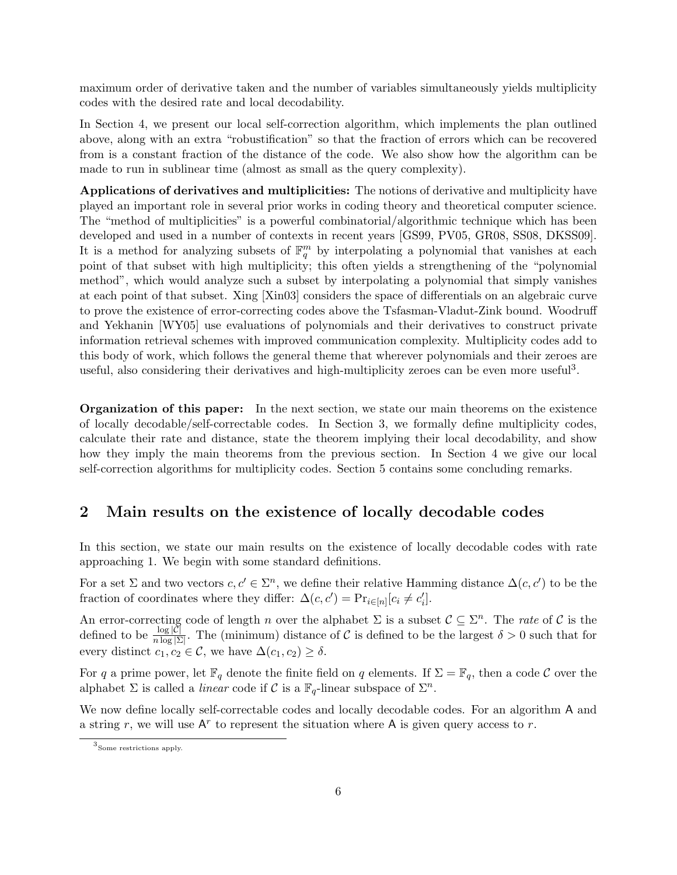maximum order of derivative taken and the number of variables simultaneously yields multiplicity codes with the desired rate and local decodability.

In Section 4, we present our local self-correction algorithm, which implements the plan outlined above, along with an extra "robustification" so that the fraction of errors which can be recovered from is a constant fraction of the distance of the code. We also show how the algorithm can be made to run in sublinear time (almost as small as the query complexity).

Applications of derivatives and multiplicities: The notions of derivative and multiplicity have played an important role in several prior works in coding theory and theoretical computer science. The "method of multiplicities" is a powerful combinatorial/algorithmic technique which has been developed and used in a number of contexts in recent years [GS99, PV05, GR08, SS08, DKSS09]. It is a method for analyzing subsets of  $\mathbb{F}_q^m$  by interpolating a polynomial that vanishes at each point of that subset with high multiplicity; this often yields a strengthening of the "polynomial method", which would analyze such a subset by interpolating a polynomial that simply vanishes at each point of that subset. Xing [Xin03] considers the space of differentials on an algebraic curve to prove the existence of error-correcting codes above the Tsfasman-Vladut-Zink bound. Woodruff and Yekhanin [WY05] use evaluations of polynomials and their derivatives to construct private information retrieval schemes with improved communication complexity. Multiplicity codes add to this body of work, which follows the general theme that wherever polynomials and their zeroes are useful, also considering their derivatives and high-multiplicity zeroes can be even more useful<sup>3</sup>.

Organization of this paper: In the next section, we state our main theorems on the existence of locally decodable/self-correctable codes. In Section 3, we formally define multiplicity codes, calculate their rate and distance, state the theorem implying their local decodability, and show how they imply the main theorems from the previous section. In Section 4 we give our local self-correction algorithms for multiplicity codes. Section 5 contains some concluding remarks.

## 2 Main results on the existence of locally decodable codes

In this section, we state our main results on the existence of locally decodable codes with rate approaching 1. We begin with some standard definitions.

For a set  $\Sigma$  and two vectors  $c, c' \in \Sigma<sup>n</sup>$ , we define their relative Hamming distance  $\Delta(c, c')$  to be the fraction of coordinates where they differ:  $\Delta(c, c') = \Pr_{i \in [n]}[c_i \neq c'_i].$ 

An error-correcting code of length n over the alphabet  $\Sigma$  is a subset  $\mathcal{C} \subseteq \Sigma^n$ . The rate of  $\mathcal{C}$  is the defined to be  $\frac{\log |\mathcal{C}|}{n \log |\mathcal{D}|}$ . The (minimum) distance of C is defined to be the largest  $\delta > 0$  such that for every distinct  $c_1, c_2 \in \mathcal{C}$ , we have  $\Delta(c_1, c_2) \geq \delta$ .

For q a prime power, let  $\mathbb{F}_q$  denote the finite field on q elements. If  $\Sigma = \mathbb{F}_q$ , then a code C over the alphabet  $\Sigma$  is called a *linear* code if C is a  $\mathbb{F}_q$ -linear subspace of  $\Sigma^n$ .

We now define locally self-correctable codes and locally decodable codes. For an algorithm A and a string r, we will use  $A<sup>r</sup>$  to represent the situation where A is given query access to r.

<sup>3</sup> Some restrictions apply.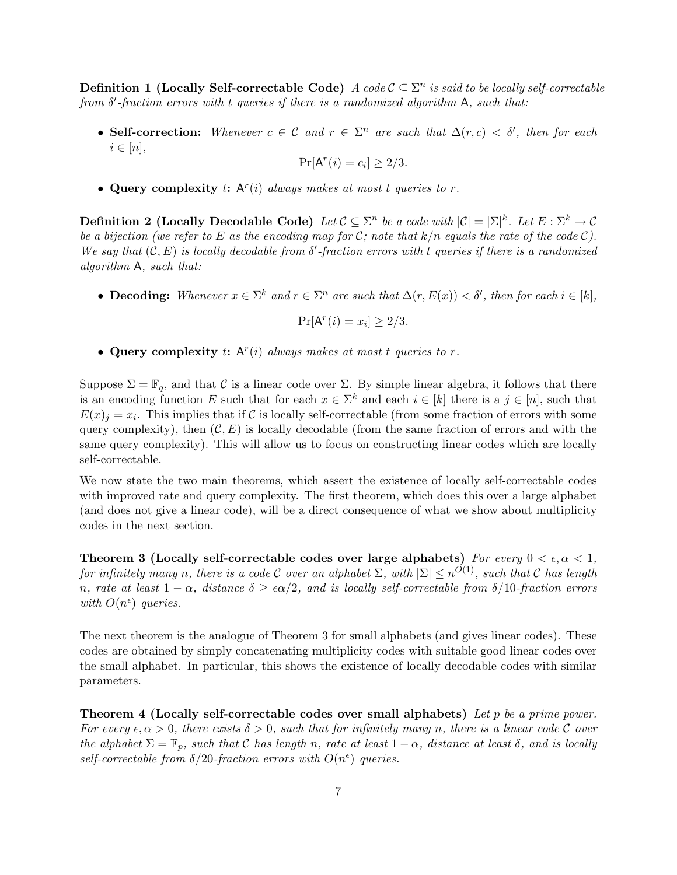**Definition 1 (Locally Self-correctable Code)** A code  $\mathcal{C} \subseteq \Sigma^n$  is said to be locally self-correctable from δ'-fraction errors with t queries if there is a randomized algorithm A, such that:

• Self-correction: Whenever  $c \in \mathcal{C}$  and  $r \in \Sigma^n$  are such that  $\Delta(r, c) < \delta'$ , then for each  $i \in [n],$ 

$$
\Pr[\mathsf{A}^r(i) = c_i] \ge 2/3.
$$

• Query complexity  $t: A<sup>r</sup>(i)$  always makes at most  $t$  queries to  $r$ .

**Definition 2 (Locally Decodable Code)** Let  $\mathcal{C} \subseteq \Sigma^n$  be a code with  $|\mathcal{C}| = |\Sigma|^k$ . Let  $E : \Sigma^k \to \mathcal{C}$ be a bijection (we refer to E as the encoding map for C; note that  $k/n$  equals the rate of the code C). We say that  $(C, E)$  is locally decodable from  $\delta'$ -fraction errors with t queries if there is a randomized algorithm A, such that:

• Decoding: Whenever  $x \in \Sigma^k$  and  $r \in \Sigma^n$  are such that  $\Delta(r, E(x)) < \delta'$ , then for each  $i \in [k]$ ,

 $Pr[A^{r}(i) = x_i] \ge 2/3.$ 

• Query complexity  $t: A<sup>r</sup>(i)$  always makes at most  $t$  queries to  $r$ .

Suppose  $\Sigma = \mathbb{F}_q$ , and that C is a linear code over  $\Sigma$ . By simple linear algebra, it follows that there is an encoding function E such that for each  $x \in \Sigma^k$  and each  $i \in [k]$  there is a  $j \in [n]$ , such that  $E(x)$  =  $x_i$ . This implies that if C is locally self-correctable (from some fraction of errors with some query complexity), then  $(C, E)$  is locally decodable (from the same fraction of errors and with the same query complexity). This will allow us to focus on constructing linear codes which are locally self-correctable.

We now state the two main theorems, which assert the existence of locally self-correctable codes with improved rate and query complexity. The first theorem, which does this over a large alphabet (and does not give a linear code), will be a direct consequence of what we show about multiplicity codes in the next section.

Theorem 3 (Locally self-correctable codes over large alphabets) For every  $0 < \epsilon, \alpha < 1$ , for infinitely many n, there is a code C over an alphabet  $\Sigma$ , with  $|\Sigma| \le n^{O(1)}$ , such that C has length n, rate at least  $1 - \alpha$ , distance  $\delta \geq \epsilon \alpha/2$ , and is locally self-correctable from  $\delta/10$ -fraction errors with  $O(n^{\epsilon})$  queries.

The next theorem is the analogue of Theorem 3 for small alphabets (and gives linear codes). These codes are obtained by simply concatenating multiplicity codes with suitable good linear codes over the small alphabet. In particular, this shows the existence of locally decodable codes with similar parameters.

Theorem 4 (Locally self-correctable codes over small alphabets) Let p be a prime power. For every  $\epsilon, \alpha > 0$ , there exists  $\delta > 0$ , such that for infinitely many n, there is a linear code C over the alphabet  $\Sigma = \mathbb{F}_p$ , such that C has length n, rate at least  $1 - \alpha$ , distance at least  $\delta$ , and is locally self-correctable from  $\delta/20$ -fraction errors with  $O(n^{\epsilon})$  queries.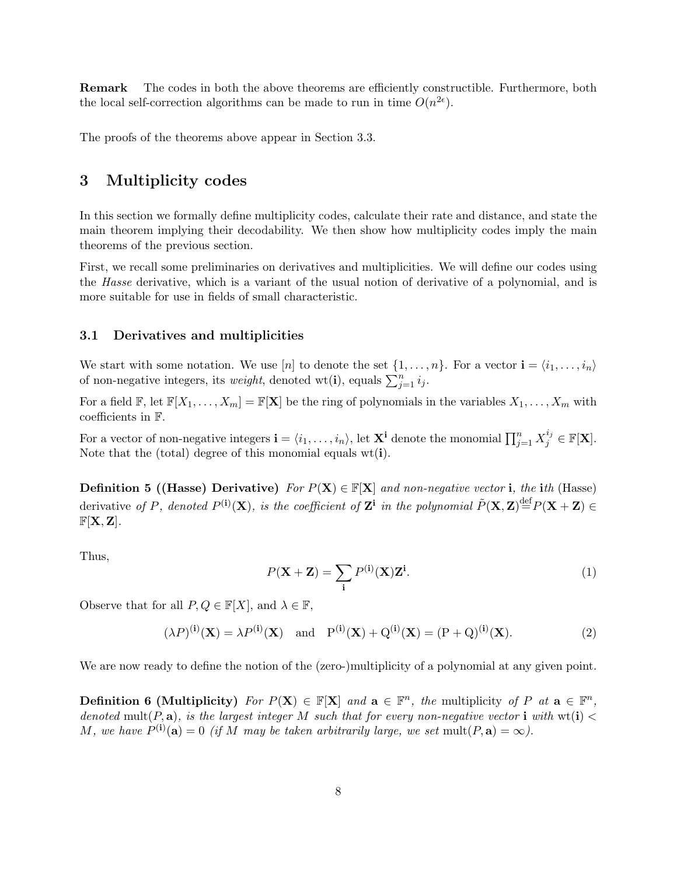Remark The codes in both the above theorems are efficiently constructible. Furthermore, both the local self-correction algorithms can be made to run in time  $O(n^{2\epsilon})$ .

The proofs of the theorems above appear in Section 3.3.

# 3 Multiplicity codes

In this section we formally define multiplicity codes, calculate their rate and distance, and state the main theorem implying their decodability. We then show how multiplicity codes imply the main theorems of the previous section.

First, we recall some preliminaries on derivatives and multiplicities. We will define our codes using the Hasse derivative, which is a variant of the usual notion of derivative of a polynomial, and is more suitable for use in fields of small characteristic.

### 3.1 Derivatives and multiplicities

We start with some notation. We use [n] to denote the set  $\{1, \ldots, n\}$ . For a vector  $\mathbf{i} = \langle i_1, \ldots, i_n \rangle$ of non-negative integers, its *weight*, denoted wt(i), equals  $\sum_{j=1}^{n} i_j$ .

For a field  $\mathbb{F}$ , let  $\mathbb{F}[X_1,\ldots,X_m] = \mathbb{F}[\mathbf{X}]$  be the ring of polynomials in the variables  $X_1,\ldots,X_m$  with coefficients in F.

For a vector of non-negative integers  $\mathbf{i} = \langle i_1, \ldots, i_n \rangle$ , let  $\mathbf{X}^{\mathbf{i}}$  denote the monomial  $\prod_{j=1}^n X_j^{i_j} \in \mathbb{F}[\mathbf{X}]$ . Note that the (total) degree of this monomial equals  $wt(i)$ .

**Definition 5 ((Hasse) Derivative)** For  $P(X) \in \mathbb{F}[X]$  and non-negative vector i, the ith (Hasse) derivative of P, denoted  $P^{(i)}(\mathbf{X})$ , is the coefficient of  $\mathbf{Z}^i$  in the polynomial  $\tilde{P}(\mathbf{X},\mathbf{Z}) \stackrel{\text{def}}{=} P(\mathbf{X} + \mathbf{Z}) \in$  $F[X, Z]$ .

Thus,

$$
P(\mathbf{X} + \mathbf{Z}) = \sum_{\mathbf{i}} P^{(\mathbf{i})}(\mathbf{X}) \mathbf{Z}^{\mathbf{i}}.
$$
 (1)

Observe that for all  $P, Q \in \mathbb{F}[X]$ , and  $\lambda \in \mathbb{F}$ ,

$$
(\lambda P)^{(i)}(\mathbf{X}) = \lambda P^{(i)}(\mathbf{X})
$$
 and  $P^{(i)}(\mathbf{X}) + Q^{(i)}(\mathbf{X}) = (P + Q)^{(i)}(\mathbf{X}).$  (2)

We are now ready to define the notion of the (zero-)multiplicity of a polynomial at any given point.

**Definition 6 (Multiplicity)** For  $P(X) \in \mathbb{F}[X]$  and  $\mathbf{a} \in \mathbb{F}^n$ , the multiplicity of P at  $\mathbf{a} \in \mathbb{F}^n$ , denoted mult(P, a), is the largest integer M such that for every non-negative vector i with wt(i)  $\lt$ M, we have  $P^{(i)}(a) = 0$  (if M may be taken arbitrarily large, we set mult $(P, a) = \infty$ ).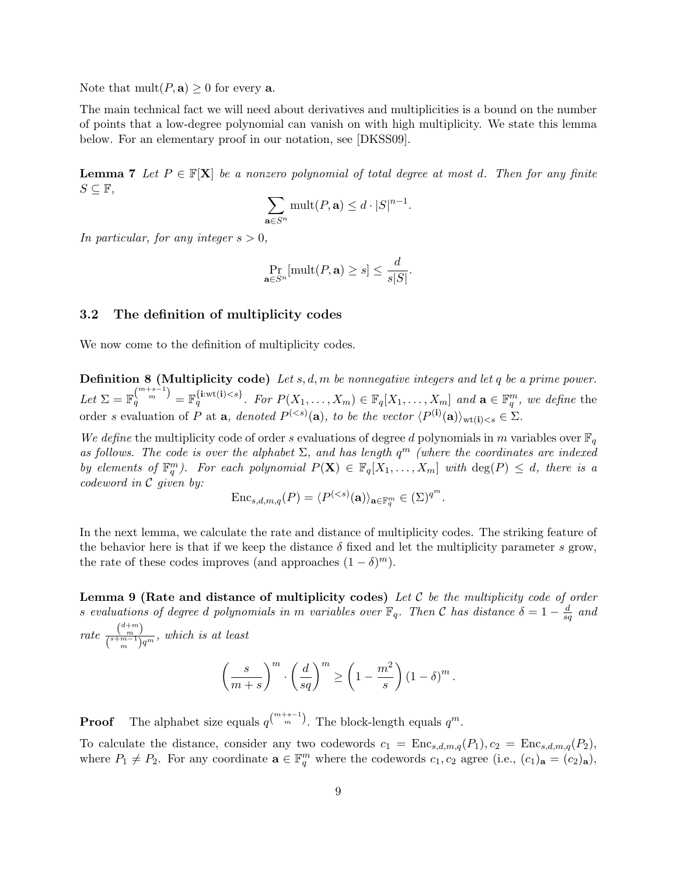Note that  $mult(P, a) \geq 0$  for every a.

The main technical fact we will need about derivatives and multiplicities is a bound on the number of points that a low-degree polynomial can vanish on with high multiplicity. We state this lemma below. For an elementary proof in our notation, see [DKSS09].

**Lemma 7** Let  $P \in \mathbb{F}[\mathbf{X}]$  be a nonzero polynomial of total degree at most d. Then for any finite  $S \subseteq \mathbb{F}$ ,

$$
\sum_{\mathbf{a}\in S^n} \text{mult}(P,\mathbf{a}) \leq d\cdot |S|^{n-1}.
$$

In particular, for any integer  $s > 0$ ,

$$
\Pr_{\mathbf{a}\in S^n}[\text{mult}(P,\mathbf{a})\geq s] \leq \frac{d}{s|S|}.
$$

### 3.2 The definition of multiplicity codes

We now come to the definition of multiplicity codes.

**Definition 8 (Multiplicity code)** Let  $s, d, m$  be nonnegative integers and let q be a prime power. Let  $\Sigma = \mathbb{F}_q^{(m+s-1)} = \mathbb{F}_q^{\{\text{i}:wt(i). For  $P(X_1,\ldots,X_m) \in \mathbb{F}_q[X_1,\ldots,X_m]$  and  $\mathbf{a} \in \mathbb{F}_q^m$ , we define the$ order s evaluation of P at **a**, denoted  $P^{(*s*)}(a)$ , to be the vector  $\langle P^{(i)}(a) \rangle_{\text{wt}(i) < s} \in \Sigma$ .

We define the multiplicity code of order s evaluations of degree d polynomials in m variables over  $\mathbb{F}_q$ as follows. The code is over the alphabet  $\Sigma$ , and has length  $q^m$  (where the coordinates are indexed by elements of  $\mathbb{F}_q^m$ ). For each polynomial  $P(\mathbf{X}) \in \mathbb{F}_q[X_1,\ldots,X_m]$  with  $\deg(P) \leq d$ , there is a codeword in C given by:

$$
\mathrm{Enc}_{s,d,m,q}(P) = \langle P^{(
$$

In the next lemma, we calculate the rate and distance of multiplicity codes. The striking feature of the behavior here is that if we keep the distance  $\delta$  fixed and let the multiplicity parameter s grow, the rate of these codes improves (and approaches  $(1 - \delta)^m$ ).

**Lemma 9 (Rate and distance of multiplicity codes)** Let C be the multiplicity code of order s evaluations of degree d polynomials in m variables over  $\mathbb{F}_q$ . Then C has distance  $\delta = 1 - \frac{d}{sd}$  $\frac{d}{sq}$  and

rate  $\frac{\binom{d+m}{m}}{\binom{s+m-1}{m}}$  $\frac{\binom{m}{m}}{\binom{s+m-1}{m}q^m}$ , which is at least

$$
\left(\frac{s}{m+s}\right)^m \cdot \left(\frac{d}{sq}\right)^m \ge \left(1 - \frac{m^2}{s}\right) \left(1 - \delta\right)^m.
$$

**Proof** The alphabet size equals  $q^{m+s-1}$ . The block-length equals  $q^m$ .

To calculate the distance, consider any two codewords  $c_1 = \text{Enc}_{s,d,m,q}(P_1), c_2 = \text{Enc}_{s,d,m,q}(P_2),$ where  $P_1 \neq P_2$ . For any coordinate  $\mathbf{a} \in \mathbb{F}_q^m$  where the codewords  $c_1, c_2$  agree (i.e.,  $(c_1)_{\mathbf{a}} = (c_2)_{\mathbf{a}}$ ),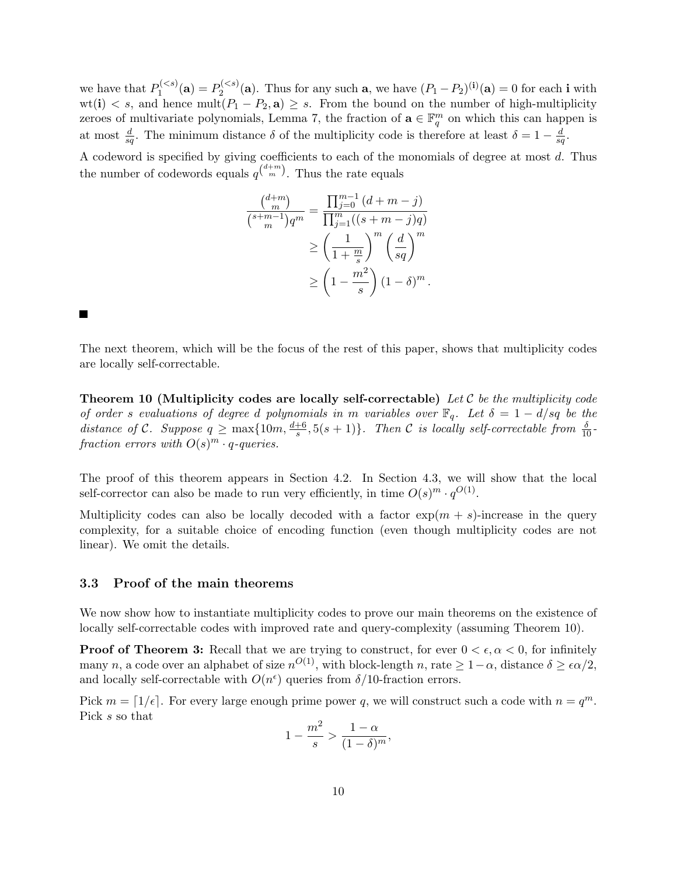we have that  $P_1^{(< s)}$  $P_1^{($  $2^{O(< s)}$ (a). Thus for any such a, we have  $(P_1 - P_2)^{(i)}(a) = 0$  for each i with wt(i) < s, and hence mult $(P_1 - P_2, \mathbf{a}) \geq s$ . From the bound on the number of high-multiplicity zeroes of multivariate polynomials, Lemma 7, the fraction of  $\mathbf{a} \in \mathbb{F}_q^m$  on which this can happen is at most  $\frac{d}{sq}$ . The minimum distance  $\delta$  of the multiplicity code is therefore at least  $\delta = 1 - \frac{d}{sq}$ .  $\frac{d}{sq}.$ 

A codeword is specified by giving coefficients to each of the monomials of degree at most d. Thus the number of codewords equals  $q^{\binom{d+m}{m}}$ . Thus the rate equals

$$
\frac{\binom{d+m}{m}}{\binom{s+m-1}{m}q^m} = \frac{\prod_{j=0}^{m-1} (d+m-j)}{\prod_{j=1}^m \left( (s+m-j)q \right)} \ge \left( \frac{1}{1+\frac{m}{s}} \right)^m \left( \frac{d}{sq} \right)^m \ge \left( 1 - \frac{m^2}{s} \right) (1-\delta)^m.
$$

The next theorem, which will be the focus of the rest of this paper, shows that multiplicity codes are locally self-correctable.

**Theorem 10 (Multiplicity codes are locally self-correctable)** Let  $\mathcal{C}$  be the multiplicity code of order s evaluations of degree d polynomials in m variables over  $\mathbb{F}_q$ . Let  $\delta = 1 - d/sq$  be the distance of C. Suppose  $q \ge \max\{10m, \frac{d+6}{s}, 5(s+1)\}\$ . Then C is locally self-correctable from  $\frac{\delta}{10}$ fraction errors with  $O(s)^m \cdot q$ -queries.

The proof of this theorem appears in Section 4.2. In Section 4.3, we will show that the local self-corrector can also be made to run very efficiently, in time  $O(s)^m \cdot q^{O(1)}$ .

Multiplicity codes can also be locally decoded with a factor  $\exp(m + s)$ -increase in the query complexity, for a suitable choice of encoding function (even though multiplicity codes are not linear). We omit the details.

### 3.3 Proof of the main theorems

П

We now show how to instantiate multiplicity codes to prove our main theorems on the existence of locally self-correctable codes with improved rate and query-complexity (assuming Theorem 10).

**Proof of Theorem 3:** Recall that we are trying to construct, for ever  $0 < \epsilon, \alpha < 0$ , for infinitely many n, a code over an alphabet of size  $n^{O(1)}$ , with block-length n, rate  $\geq 1-\alpha$ , distance  $\delta \geq \epsilon \alpha/2$ , and locally self-correctable with  $O(n^{\epsilon})$  queries from  $\delta/10$ -fraction errors.

Pick  $m = \lfloor 1/\epsilon \rfloor$ . For every large enough prime power q, we will construct such a code with  $n = q^m$ . Pick s so that

$$
1 - \frac{m^2}{s} > \frac{1 - \alpha}{(1 - \delta)^m},
$$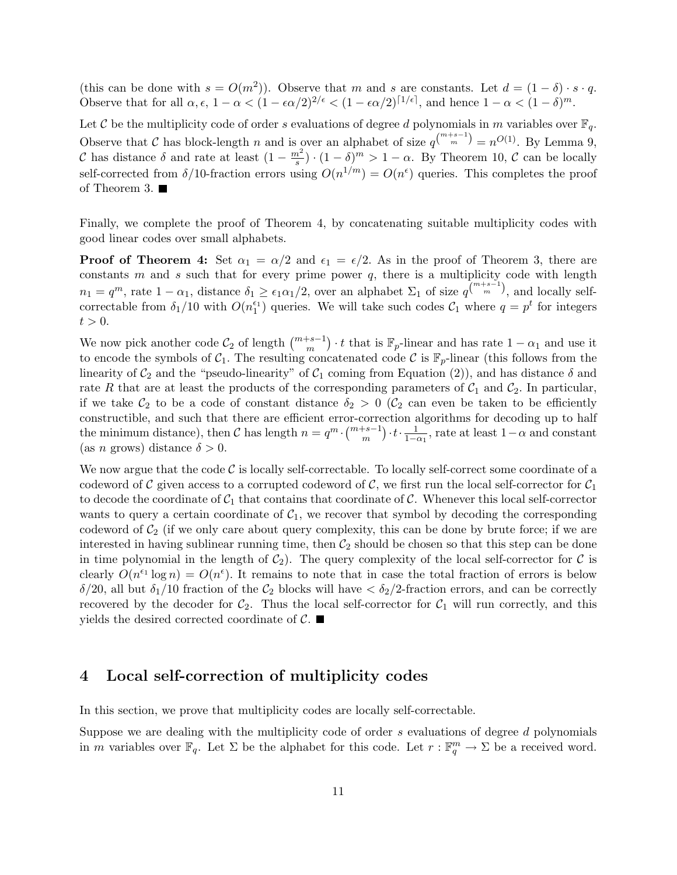(this can be done with  $s = O(m^2)$ ). Observe that m and s are constants. Let  $d = (1 - \delta) \cdot s \cdot q$ . Observe that for all  $\alpha, \epsilon, 1 - \alpha < (1 - \epsilon \alpha/2)^{2/\epsilon} < (1 - \epsilon \alpha/2)^{\lceil 1/\epsilon \rceil}$ , and hence  $1 - \alpha < (1 - \delta)^m$ .

Let C be the multiplicity code of order s evaluations of degree d polynomials in m variables over  $\mathbb{F}_q$ . Observe that C has block-length n and is over an alphabet of size  $q^{m+s-1 \choose m} = n^{O(1)}$ . By Lemma 9, C has distance  $\delta$  and rate at least  $(1 - \frac{m^2}{s})$  $\frac{n^2}{s}$ ) ·  $(1 - \delta)^m > 1 - \alpha$ . By Theorem 10,  $\mathcal{C}$  can be locally self-corrected from  $\delta/10$ -fraction errors using  $O(n^{1/m}) = O(n^{\epsilon})$  queries. This completes the proof of Theorem 3.  $\blacksquare$ 

Finally, we complete the proof of Theorem 4, by concatenating suitable multiplicity codes with good linear codes over small alphabets.

**Proof of Theorem 4:** Set  $\alpha_1 = \alpha/2$  and  $\epsilon_1 = \epsilon/2$ . As in the proof of Theorem 3, there are constants  $m$  and  $s$  such that for every prime power  $q$ , there is a multiplicity code with length  $n_1 = q^m$ , rate  $1 - \alpha_1$ , distance  $\delta_1 \ge \epsilon_1 \alpha_1/2$ , over an alphabet  $\Sigma_1$  of size  $q^{\binom{m+s-1}{m}}$ , and locally selfcorrectable from  $\delta_1/10$  with  $O(n_1^{\epsilon_1})$  queries. We will take such codes  $\mathcal{C}_1$  where  $q = p^t$  for integers  $t > 0$ .

We now pick another code  $\mathcal{C}_2$  of length  $\binom{m+s-1}{m} \cdot t$  that is  $\mathbb{F}_p$ -linear and has rate  $1 - \alpha_1$  and use it to encode the symbols of  $C_1$ . The resulting concatenated code C is  $\mathbb{F}_p$ -linear (this follows from the linearity of  $C_2$  and the "pseudo-linearity" of  $C_1$  coming from Equation (2)), and has distance  $\delta$  and rate R that are at least the products of the corresponding parameters of  $C_1$  and  $C_2$ . In particular, if we take  $\mathcal{C}_2$  to be a code of constant distance  $\delta_2 > 0$  ( $\mathcal{C}_2$  can even be taken to be efficiently constructible, and such that there are efficient error-correction algorithms for decoding up to half the minimum distance), then C has length  $n = q^m \cdot {m+s-1 \choose m} \cdot t \cdot \frac{1}{1-\alpha_1}$ , rate at least  $1-\alpha$  and constant (as n grows) distance  $\delta > 0$ .

We now argue that the code  $\mathcal C$  is locally self-correctable. To locally self-correct some coordinate of a codeword of C given access to a corrupted codeword of C, we first run the local self-corrector for  $C_1$ to decode the coordinate of  $C_1$  that contains that coordinate of C. Whenever this local self-corrector wants to query a certain coordinate of  $C_1$ , we recover that symbol by decoding the corresponding codeword of  $C_2$  (if we only care about query complexity, this can be done by brute force; if we are interested in having sublinear running time, then  $C_2$  should be chosen so that this step can be done in time polynomial in the length of  $C_2$ ). The query complexity of the local self-corrector for C is clearly  $O(n^{\epsilon_1} \log n) = O(n^{\epsilon})$ . It remains to note that in case the total fraction of errors is below  $\delta/20$ , all but  $\delta_1/10$  fraction of the  $\mathcal{C}_2$  blocks will have  $\langle \delta_2/2 \rangle$ -fraction errors, and can be correctly recovered by the decoder for  $C_2$ . Thus the local self-corrector for  $C_1$  will run correctly, and this yields the desired corrected coordinate of  $\mathcal{C}$ .

### 4 Local self-correction of multiplicity codes

In this section, we prove that multiplicity codes are locally self-correctable.

Suppose we are dealing with the multiplicity code of order s evaluations of degree d polynomials in m variables over  $\mathbb{F}_q$ . Let  $\Sigma$  be the alphabet for this code. Let  $r : \mathbb{F}_q^m \to \Sigma$  be a received word.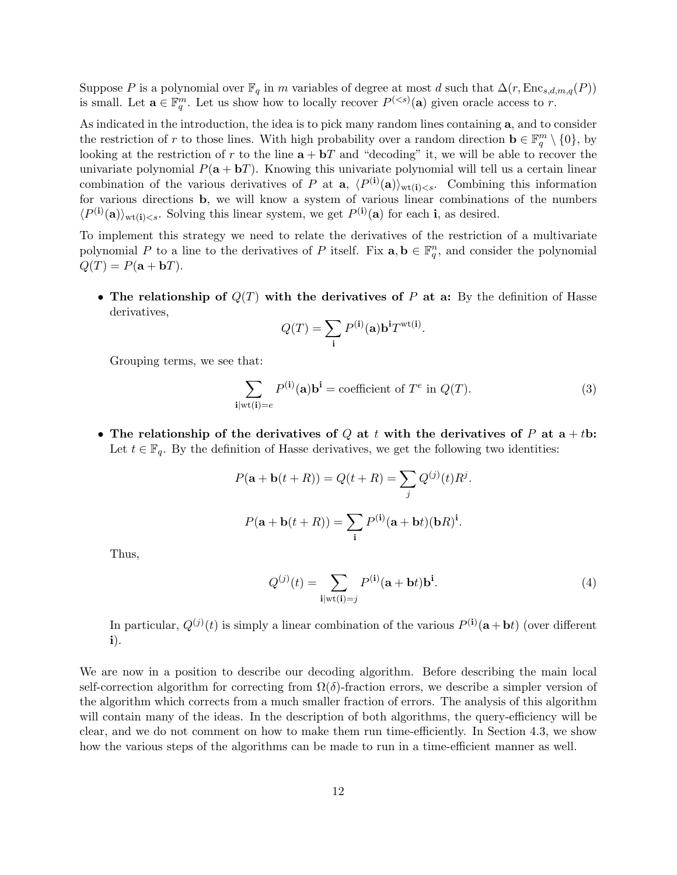Suppose P is a polynomial over  $\mathbb{F}_q$  in m variables of degree at most d such that  $\Delta(r, \text{Enc}_{s,d,m,q}(P))$ is small. Let  $\mathbf{a} \in \mathbb{F}_q^m$ . Let us show how to locally recover  $P^{(*s*)}(\mathbf{a})$  given oracle access to r.

As indicated in the introduction, the idea is to pick many random lines containing a, and to consider the restriction of r to those lines. With high probability over a random direction  $\mathbf{b} \in \mathbb{F}_q^m \setminus \{0\}$ , by looking at the restriction of r to the line  $\mathbf{a} + \mathbf{b}T$  and "decoding" it, we will be able to recover the univariate polynomial  $P(a + bT)$ . Knowing this univariate polynomial will tell us a certain linear combination of the various derivatives of P at **a**,  $\langle P^{(i)}(a) \rangle_{\text{wt}(i) < s}$ . Combining this information for various directions b, we will know a system of various linear combinations of the numbers  $\langle P^{(i)}(a)\rangle_{\text{wt}(i). Solving this linear system, we get  $P^{(i)}(a)$  for each i, as desired.$ 

To implement this strategy we need to relate the derivatives of the restriction of a multivariate polynomial P to a line to the derivatives of P itself. Fix  $\mathbf{a}, \mathbf{b} \in \mathbb{F}_q^n$ , and consider the polynomial  $Q(T) = P(\mathbf{a} + \mathbf{b}T).$ 

• The relationship of  $Q(T)$  with the derivatives of P at a: By the definition of Hasse derivatives,

$$
Q(T) = \sum_{\mathbf{i}} P^{(\mathbf{i})}(\mathbf{a}) \mathbf{b}^{\mathbf{i}} T^{\text{wt}(\mathbf{i})}.
$$

Grouping terms, we see that:

$$
\sum_{\mathbf{i}|\text{wt}(\mathbf{i})=e} P^{(\mathbf{i})}(\mathbf{a})\mathbf{b}^{\mathbf{i}} = \text{coefficient of } T^e \text{ in } Q(T). \tag{3}
$$

• The relationship of the derivatives of Q at t with the derivatives of P at  $a + tb$ : Let  $t \in \mathbb{F}_q$ . By the definition of Hasse derivatives, we get the following two identities:

$$
P(\mathbf{a} + \mathbf{b}(t + R)) = Q(t + R) = \sum_{j} Q^{(j)}(t) R^{j}.
$$

$$
P(\mathbf{a} + \mathbf{b}(t + R)) = \sum_{i} P^{(i)}(\mathbf{a} + \mathbf{b}t)(\mathbf{b}R)^{i}.
$$

Thus,

$$
Q^{(j)}(t) = \sum_{\mathbf{i}|\text{wt}(\mathbf{i})=j} P^{(\mathbf{i})}(\mathbf{a} + \mathbf{b}t)\mathbf{b}^{\mathbf{i}}.
$$
 (4)

In particular,  $Q^{(j)}(t)$  is simply a linear combination of the various  $P^{(i)}(a+bt)$  (over different i).

We are now in a position to describe our decoding algorithm. Before describing the main local self-correction algorithm for correcting from  $\Omega(\delta)$ -fraction errors, we describe a simpler version of the algorithm which corrects from a much smaller fraction of errors. The analysis of this algorithm will contain many of the ideas. In the description of both algorithms, the query-efficiency will be clear, and we do not comment on how to make them run time-efficiently. In Section 4.3, we show how the various steps of the algorithms can be made to run in a time-efficient manner as well.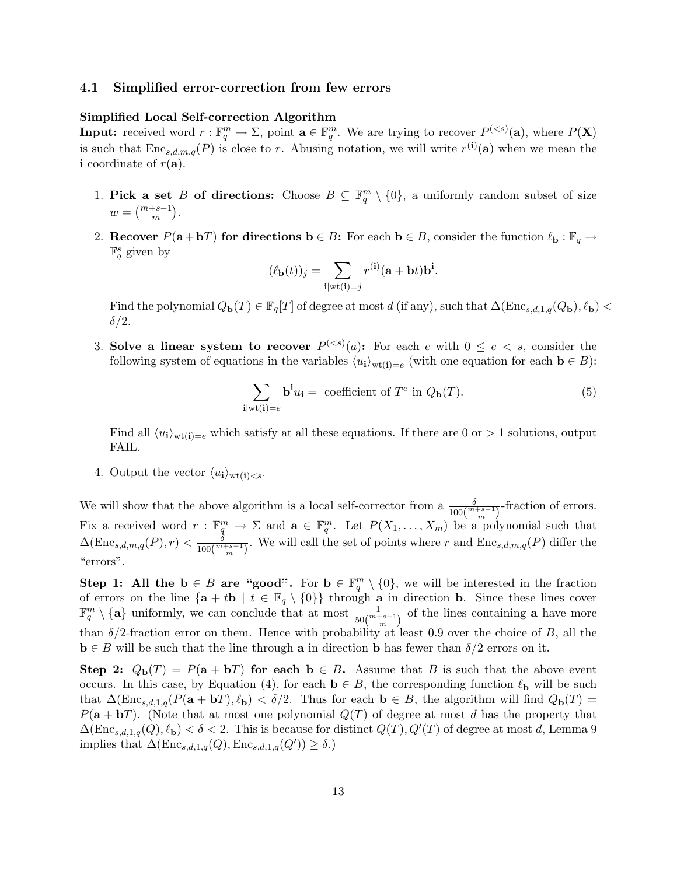### 4.1 Simplified error-correction from few errors

### Simplified Local Self-correction Algorithm

**Input:** received word  $r : \mathbb{F}_q^m \to \Sigma$ , point  $\mathbf{a} \in \mathbb{F}_q^m$ . We are trying to recover  $P^{(< s)}(\mathbf{a})$ , where  $P(\mathbf{X})$ is such that  $Enc_{s,d,m,q}(P)$  is close to r. Abusing notation, we will write  $r^{(i)}(a)$  when we mean the i coordinate of  $r(\mathbf{a})$ .

- 1. Pick a set B of directions: Choose  $B \subseteq \mathbb{F}_q^m \setminus \{0\}$ , a uniformly random subset of size  $w = \binom{m+s-1}{m}$ .
- 2. Recover  $P(\mathbf{a}+\mathbf{b}T)$  for directions  $\mathbf{b} \in B$ : For each  $\mathbf{b} \in B$ , consider the function  $\ell_{\mathbf{b}} : \mathbb{F}_q \to$  $\mathbb{F}_q^s$  given by

$$
(\ell_{\mathbf{b}}(t))_j = \sum_{\mathbf{i}|\mathrm{wt}(\mathbf{i})=j} r^{(\mathbf{i})}(\mathbf{a}+\mathbf{b}t)\mathbf{b}^{\mathbf{i}}.
$$

Find the polynomial  $Q_{\bf{b}}(T) \in \mathbb{F}_q[T]$  of degree at most d (if any), such that  $\Delta(\text{Enc}_{s,d,1,q}(Q_{\bf{b}}), \ell_{\bf{b}})$  $δ/2$ .

3. Solve a linear system to recover  $P^{(*s*)}(a)$ : For each e with  $0 \le e \le s$ , consider the following system of equations in the variables  $\langle u_i \rangle_{\text{wt}(i)=e}$  (with one equation for each  $\mathbf{b} \in B$ ):

$$
\sum_{\mathbf{i}|\text{wt}(\mathbf{i})=e} \mathbf{b}^{\mathbf{i}} u_{\mathbf{i}} = \text{ coefficient of } T^e \text{ in } Q_{\mathbf{b}}(T). \tag{5}
$$

Find all  $\langle u_i \rangle_{\text{wt}(i)=e}$  which satisfy at all these equations. If there are 0 or > 1 solutions, output FAIL.

4. Output the vector  $\langle u_{\mathbf{i}} \rangle_{\text{wt}(\mathbf{i}) < s}$ .

We will show that the above algorithm is a local self-corrector from a  $\frac{\delta}{100\binom{m+s-1}{m}}$ -fraction of errors. Fix a received word  $r : \mathbb{F}_q^m \to \Sigma$  and  $\mathbf{a} \in \mathbb{F}_q^m$ . Let  $P(X_1, \ldots, X_m)$  be a polynomial such that  $\Delta(\text{Enc}_{s,d,m,q}(P), r) < \frac{\delta}{100^{\binom{m}{m}}}$  $\frac{\delta}{100\binom{m+s-1}{m}}$ . We will call the set of points where r and  $\text{Enc}_{s,d,m,q}(P)$  differ the "errors".

Step 1: All the  $b \in B$  are "good". For  $b \in \mathbb{F}_q^m \setminus \{0\}$ , we will be interested in the fraction of errors on the line  $\{a + t b \mid t \in \mathbb{F}_q \setminus \{0\}\}\$  through a in direction b. Since these lines cover  $\mathbb{F}_q^m \setminus \{\mathbf{a}\}\$  uniformly, we can conclude that at most  $\frac{1}{50\binom{m+s-1}{m}}$  of the lines containing **a** have more than  $\delta/2$ -fraction error on them. Hence with probability at least 0.9 over the choice of B, all the  $\mathbf{b} \in B$  will be such that the line through a in direction b has fewer than  $\delta/2$  errors on it.

Step 2:  $Q_{\bf{b}}(T) = P({\bf{a}} + {\bf{b}}T)$  for each  ${\bf{b}} \in B$ . Assume that B is such that the above event occurs. In this case, by Equation (4), for each  $\mathbf{b} \in B$ , the corresponding function  $\ell_{\mathbf{b}}$  will be such that  $\Delta(\text{Enc}_{s,d,1,q}(P(\mathbf{a} + \mathbf{b}T), \ell_{\mathbf{b}}) < \delta/2$ . Thus for each  $\mathbf{b} \in B$ , the algorithm will find  $Q_{\mathbf{b}}(T) =$  $P(a + bT)$ . (Note that at most one polynomial  $Q(T)$  of degree at most d has the property that  $\Delta(\text{Enc}_{s,d,1,q}(Q), \ell_{\mathbf{b}}) < \delta < 2$ . This is because for distinct  $Q(T), Q'(T)$  of degree at most d, Lemma 9 implies that  $\Delta(\text{Enc}_{s,d,1,q}(Q), \text{Enc}_{s,d,1,q}(Q')) \geq \delta$ .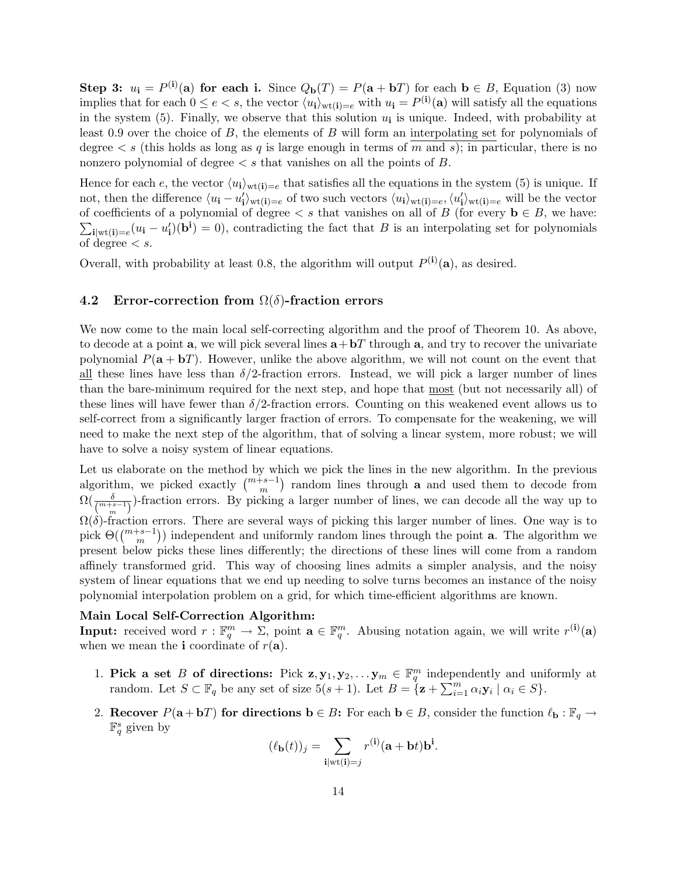Step 3:  $u_i = P^{(i)}(a)$  for each i. Since  $Q_b(T) = P(a + bT)$  for each  $b \in B$ , Equation (3) now implies that for each  $0 \le e < s$ , the vector  $\langle u_i \rangle_{\text{wt}(i)=e}$  with  $u_i = P^{(i)}(a)$  will satisfy all the equations in the system  $(5)$ . Finally, we observe that this solution  $u_i$  is unique. Indeed, with probability at least 0.9 over the choice of  $B$ , the elements of  $B$  will form an interpolating set for polynomials of degree  $\lt s$  (this holds as long as q is large enough in terms of m and s); in particular, there is no nonzero polynomial of degree  $\lt s$  that vanishes on all the points of B.

Hence for each e, the vector  $\langle u_i \rangle_{\text{wt}(i)=e}$  that satisfies all the equations in the system (5) is unique. If not, then the difference  $\langle u_{\mathbf{i}} - u'_{\mathbf{i}} \rangle_{\text{wt}(\mathbf{i})=e}$  of two such vectors  $\langle u_{\mathbf{i}} \rangle_{\text{wt}(\mathbf{i})=e}, \langle u'_{\mathbf{i}} \rangle_{\text{wt}(\mathbf{i})=e}$  will be the vector of coefficients of a polynomial of degree  $\lt s$  that vanishes on all of B (for every  $\mathbf{b} \in B$ , we have:  $\sum_{i|wt(i)=e} (u_i - u'_i)(b^i) = 0$ , contradicting the fact that B is an interpolating set for polynomials of degree  $\lt s$ .

Overall, with probability at least 0.8, the algorithm will output  $P^{(i)}(a)$ , as desired.

### 4.2 Error-correction from  $\Omega(\delta)$ -fraction errors

We now come to the main local self-correcting algorithm and the proof of Theorem 10. As above, to decode at a point **a**, we will pick several lines  $a + bT$  through a, and try to recover the univariate polynomial  $P(a + bT)$ . However, unlike the above algorithm, we will not count on the event that all these lines have less than  $\delta/2$ -fraction errors. Instead, we will pick a larger number of lines than the bare-minimum required for the next step, and hope that most (but not necessarily all) of these lines will have fewer than  $\delta/2$ -fraction errors. Counting on this weakened event allows us to self-correct from a significantly larger fraction of errors. To compensate for the weakening, we will need to make the next step of the algorithm, that of solving a linear system, more robust; we will have to solve a noisy system of linear equations.

Let us elaborate on the method by which we pick the lines in the new algorithm. In the previous algorithm, we picked exactly  $\binom{m+s-1}{m}$  random lines through **a** and used them to decode from  $\Omega(\frac{\delta}{\binom{m+s-1}{m}})$ -fraction errors. By picking a larger number of lines, we can decode all the way up to  $\Omega(\delta)$ -fraction errors. There are several ways of picking this larger number of lines. One way is to pick  $\Theta(\binom{m+s-1}{m})$  independent and uniformly random lines through the point **a**. The algorithm we present below picks these lines differently; the directions of these lines will come from a random affinely transformed grid. This way of choosing lines admits a simpler analysis, and the noisy system of linear equations that we end up needing to solve turns becomes an instance of the noisy polynomial interpolation problem on a grid, for which time-efficient algorithms are known.

### Main Local Self-Correction Algorithm:

**Input:** received word  $r : \mathbb{F}_q^m \to \Sigma$ , point  $\mathbf{a} \in \mathbb{F}_q^m$ . Abusing notation again, we will write  $r^{(\mathbf{i})}(\mathbf{a})$ when we mean the **i** coordinate of  $r(\mathbf{a})$ .

- 1. Pick a set B of directions: Pick  $z, y_1, y_2, \ldots, y_m \in \mathbb{F}_q^m$  independently and uniformly at random. Let  $S \subset \mathbb{F}_q$  be any set of size  $5(s+1)$ . Let  $B = \{z + \sum_{i=1}^m \alpha_i y_i \mid \alpha_i \in S\}$ .
- 2. Recover  $P(a+bT)$  for directions  $b \in B$ : For each  $b \in B$ , consider the function  $\ell_b : \mathbb{F}_q \to$  $\mathbb{F}_q^s$  given by

$$
(\ell_{\mathbf{b}}(t))_j = \sum_{\mathbf{i}|\mathrm{wt}(\mathbf{i})=j} r^{(\mathbf{i})}(\mathbf{a} + \mathbf{b}t)\mathbf{b}^{\mathbf{i}}.
$$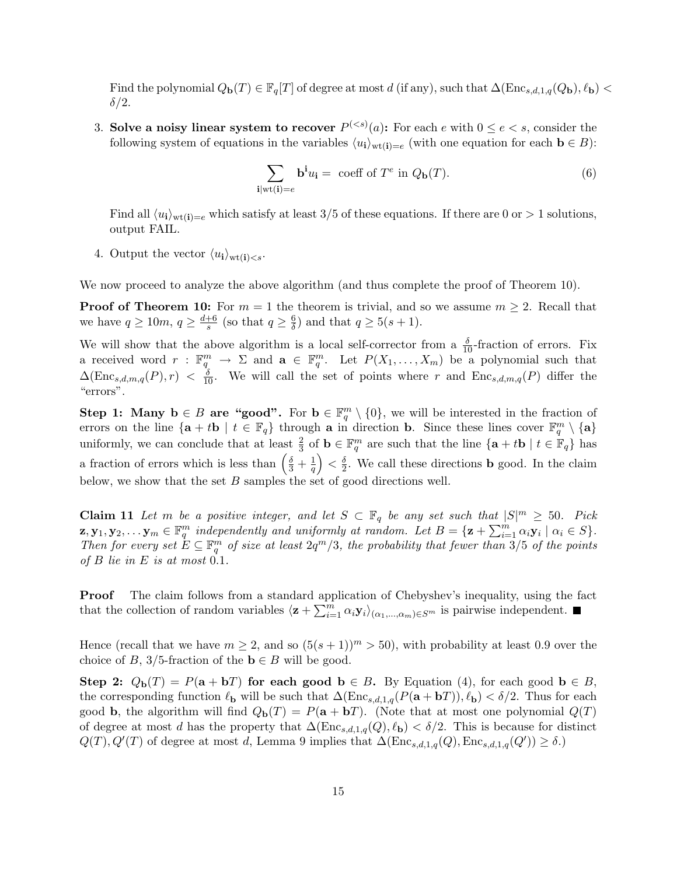Find the polynomial  $Q_{\bf{b}}(T) \in \mathbb{F}_q[T]$  of degree at most d (if any), such that  $\Delta(\text{Enc}_{s,d,1,q}(Q_{\bf{b}}), \ell_{\bf{b}})$  $\delta/2$ .

3. Solve a noisy linear system to recover  $P^{(*s*)}(a)$ : For each e with  $0 \le e < s$ , consider the following system of equations in the variables  $\langle u_i \rangle_{\text{wt}(i)=e}$  (with one equation for each  $\mathbf{b} \in B$ ):

$$
\sum_{\mathbf{i}|\text{wt}(\mathbf{i})=e} \mathbf{b}^{\mathbf{i}} u_{\mathbf{i}} = \text{ coeff of } T^e \text{ in } Q_{\mathbf{b}}(T). \tag{6}
$$

Find all  $\langle u_i \rangle_{\text{wt}(i)=e}$  which satisfy at least 3/5 of these equations. If there are 0 or > 1 solutions, output FAIL.

4. Output the vector  $\langle u_{\mathbf{i}} \rangle_{\text{wt}(\mathbf{i}) < s}$ .

We now proceed to analyze the above algorithm (and thus complete the proof of Theorem 10).

**Proof of Theorem 10:** For  $m = 1$  the theorem is trivial, and so we assume  $m \geq 2$ . Recall that we have  $q \ge 10m$ ,  $q \ge \frac{d+6}{s}$  $\frac{+6}{s}$  (so that  $q \geq \frac{6}{\delta}$  $\frac{6}{\delta}$ ) and that  $q \ge 5(s+1)$ .

We will show that the above algorithm is a local self-corrector from a  $\frac{\delta}{10}$ -fraction of errors. Fix a received word  $r : \mathbb{F}_q^m \to \Sigma$  and  $\mathbf{a} \in \mathbb{F}_q^m$ . Let  $P(X_1, \ldots, X_m)$  be a polynomial such that  $\Delta(\text{Enc}_{s,d,m,q}(P), r) < \frac{\delta}{10}$ . We will call the set of points where r and  $\text{Enc}_{s,d,m,q}(P)$  differ the "errors".

Step 1: Many  $\mathbf{b} \in B$  are "good". For  $\mathbf{b} \in \mathbb{F}_q^m \setminus \{0\}$ , we will be interested in the fraction of errors on the line  $\{a + t b \mid t \in \mathbb{F}_q\}$  through a in direction b. Since these lines cover  $\mathbb{F}_q^m \setminus \{a\}$ uniformly, we can conclude that at least  $\frac{2}{3}$  of  $\mathbf{b} \in \mathbb{F}_q^m$  are such that the line  $\{\mathbf{a} + t\mathbf{b} \mid t \in \mathbb{F}_q\}$  has a fraction of errors which is less than  $\left(\frac{\delta}{3} + \frac{1}{q}\right)$  $\frac{1}{q}\Big)<\frac{\delta}{2}$  $\frac{\delta}{2}$ . We call these directions **b** good. In the claim below, we show that the set  $B$  samples the set of good directions well.

**Claim 11** Let m be a positive integer, and let  $S \subset \mathbb{F}_q$  be any set such that  $|S|^m \geq 50$ . Pick  $\mathbf{z}, \mathbf{y}_1, \mathbf{y}_2, \ldots, \mathbf{y}_m \in \mathbb{F}_q^m$  independently and uniformly at random. Let  $B = {\mathbf{z} + \sum_{i=1}^m \alpha_i \mathbf{y}_i \mid \alpha_i \in S}.$ Then for every set  $E \subseteq \mathbb{F}_q^m$  of size at least  $2q^m/3$ , the probability that fewer than  $3/5$  of the points of B lie in E is at most 0.1.

Proof The claim follows from a standard application of Chebyshev's inequality, using the fact that the collection of random variables  $\langle \mathbf{z} + \sum_{i=1}^m \alpha_i \mathbf{y}_i \rangle_{(\alpha_1, ..., \alpha_m) \in S^m}$  is pairwise independent.

Hence (recall that we have  $m \geq 2$ , and so  $(5(s+1))^m > 50$ ), with probability at least 0.9 over the choice of B, 3/5-fraction of the  $\mathbf{b} \in B$  will be good.

Step 2:  $Q_{\bf{b}}(T) = P({\bf{a}} + {\bf{b}}T)$  for each good  ${\bf{b}} \in B$ . By Equation (4), for each good  ${\bf{b}} \in B$ , the corresponding function  $\ell_{\bf b}$  will be such that  $\Delta(\text{Enc}_{s,d,1,q}(P({\bf a} + {\bf b}T)), \ell_{\bf b}) < \delta/2$ . Thus for each good **b**, the algorithm will find  $Q_{\bf{b}}(T) = P(\bf{a} + \bf{b}T)$ . (Note that at most one polynomial  $Q(T)$ ) of degree at most d has the property that  $\Delta(\text{Enc}_{s,d,1,q}(Q), \ell_{\mathbf{b}}) < \delta/2$ . This is because for distinct  $Q(T), Q'(T)$  of degree at most d, Lemma 9 implies that  $\Delta(\text{Enc}_{s,d,1,q}(Q), \text{Enc}_{s,d,1,q}(Q')) \ge \delta$ .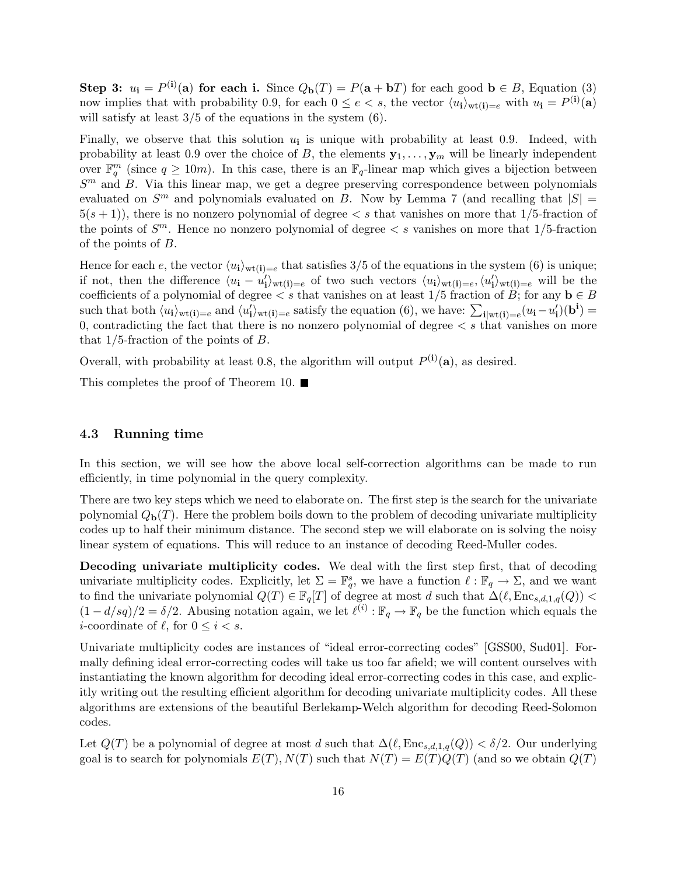**Step 3:**  $u_i = P^{(i)}(a)$  for each i. Since  $Q_b(T) = P(a + bT)$  for each good  $b \in B$ , Equation (3) now implies that with probability 0.9, for each  $0 \le e \le s$ , the vector  $\langle u_i \rangle_{\text{wt}(i)=e}$  with  $u_i = P^{(i)}(a)$ will satisfy at least  $3/5$  of the equations in the system  $(6)$ .

Finally, we observe that this solution  $u_i$  is unique with probability at least 0.9. Indeed, with probability at least 0.9 over the choice of B, the elements  $y_1, \ldots, y_m$  will be linearly independent over  $\mathbb{F}_q^m$  (since  $q \ge 10m$ ). In this case, there is an  $\mathbb{F}_q$ -linear map which gives a bijection between  $S<sup>m</sup>$  and B. Via this linear map, we get a degree preserving correspondence between polynomials evaluated on  $S^m$  and polynomials evaluated on B. Now by Lemma 7 (and recalling that  $|S|$  =  $5(s + 1)$ , there is no nonzero polynomial of degree  $\lt s$  that vanishes on more that 1/5-fraction of the points of  $S^m$ . Hence no nonzero polynomial of degree  $\lt s$  vanishes on more that 1/5-fraction of the points of B.

Hence for each e, the vector  $\langle u_i \rangle_{\text{wt}(i)=e}$  that satisfies 3/5 of the equations in the system (6) is unique; if not, then the difference  $\langle u_i - u'_i \rangle_{\text{wt}(i)=e}$  of two such vectors  $\langle u_i \rangle_{\text{wt}(i)=e}, \langle u'_i \rangle_{\text{wt}(i)=e}$  will be the coefficients of a polynomial of degree  $\lt s$  that vanishes on at least 1/5 fraction of B; for any  $\mathbf{b} \in B$ such that both  $\langle u_i \rangle_{\text{wt}(i)=e}$  and  $\langle u'_i \rangle_{\text{wt}(i)=e}$  satisfy the equation (6), we have:  $\sum_{i|\text{wt}(i)=e} (u_i - u'_i)(\mathbf{b}^i)$ 0, contradicting the fact that there is no nonzero polynomial of degree  $\lt s$  that vanishes on more that  $1/5$ -fraction of the points of B.

Overall, with probability at least 0.8, the algorithm will output  $P^{(i)}(a)$ , as desired.

This completes the proof of Theorem 10.

### 4.3 Running time

In this section, we will see how the above local self-correction algorithms can be made to run efficiently, in time polynomial in the query complexity.

There are two key steps which we need to elaborate on. The first step is the search for the univariate polynomial  $Q_{\bf{b}}(T)$ . Here the problem boils down to the problem of decoding univariate multiplicity codes up to half their minimum distance. The second step we will elaborate on is solving the noisy linear system of equations. This will reduce to an instance of decoding Reed-Muller codes.

Decoding univariate multiplicity codes. We deal with the first step first, that of decoding univariate multiplicity codes. Explicitly, let  $\Sigma = \mathbb{F}_q^s$ , we have a function  $\ell : \mathbb{F}_q \to \Sigma$ , and we want to find the univariate polynomial  $Q(T) \in \mathbb{F}_q[T]$  of degree at most d such that  $\Delta(\ell,Enc_{s,d,1,q}(Q))$  <  $(1 - d/sq)/2 = \delta/2$ . Abusing notation again, we let  $\ell^{(i)} : \mathbb{F}_q \to \mathbb{F}_q$  be the function which equals the *i*-coordinate of  $\ell$ , for  $0 \leq i < s$ .

Univariate multiplicity codes are instances of "ideal error-correcting codes" [GSS00, Sud01]. Formally defining ideal error-correcting codes will take us too far afield; we will content ourselves with instantiating the known algorithm for decoding ideal error-correcting codes in this case, and explicitly writing out the resulting efficient algorithm for decoding univariate multiplicity codes. All these algorithms are extensions of the beautiful Berlekamp-Welch algorithm for decoding Reed-Solomon codes.

Let  $Q(T)$  be a polynomial of degree at most d such that  $\Delta(\ell,Enc_{s,d,1,q}(Q)) < \delta/2$ . Our underlying goal is to search for polynomials  $E(T)$ ,  $N(T)$  such that  $N(T) = E(T)Q(T)$  (and so we obtain  $Q(T)$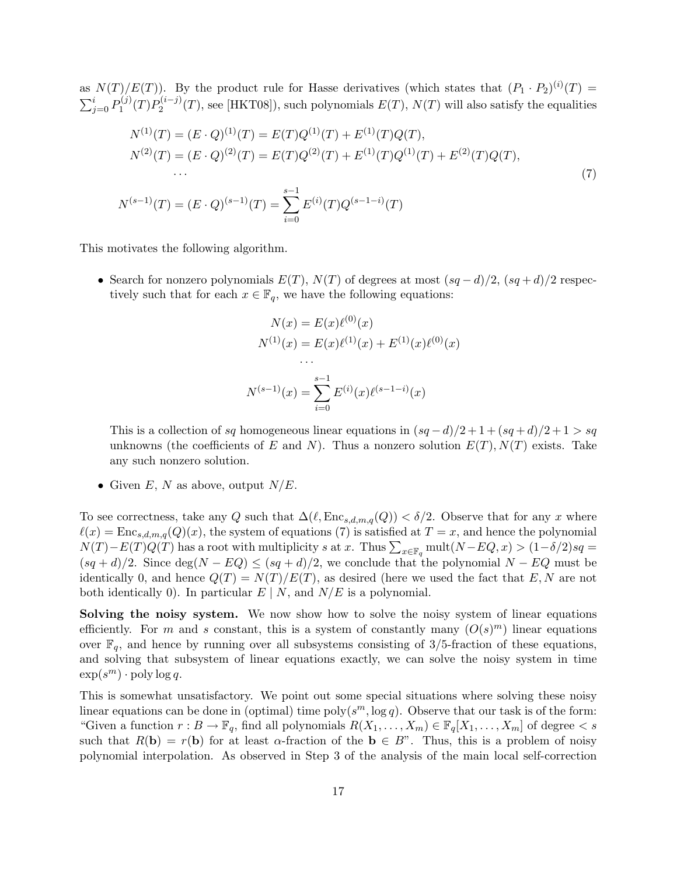as  $N(T)/E(T)$ ). By the product rule for Hasse derivatives (which states that  $(P_1 \cdot P_2)^{(i)}(T) =$  $\sum_{j=0}^{i} P_1^{(j)}$  $P_1^{(j)}(T)P_2^{(i-j)}$  $\mathcal{L}_2^{(l-j)}(T)$ , see [HKT08]), such polynomials  $E(T)$ ,  $N(T)$  will also satisfy the equalities

$$
N^{(1)}(T) = (E \cdot Q)^{(1)}(T) = E(T)Q^{(1)}(T) + E^{(1)}(T)Q(T),
$$
  
\n
$$
N^{(2)}(T) = (E \cdot Q)^{(2)}(T) = E(T)Q^{(2)}(T) + E^{(1)}(T)Q^{(1)}(T) + E^{(2)}(T)Q(T),
$$
  
\n...  
\n
$$
N^{(s-1)}(T) = (E \cdot Q)^{(s-1)}(T) = \sum_{i=0}^{s-1} E^{(i)}(T)Q^{(s-1-i)}(T)
$$
\n(7)

This motivates the following algorithm.

• Search for nonzero polynomials  $E(T)$ ,  $N(T)$  of degrees at most  $(sq - d)/2$ ,  $(sq + d)/2$  respectively such that for each  $x \in \mathbb{F}_q$ , we have the following equations:

$$
N(x) = E(x)\ell^{(0)}(x)
$$
  
\n
$$
N^{(1)}(x) = E(x)\ell^{(1)}(x) + E^{(1)}(x)\ell^{(0)}(x)
$$
  
\n...  
\n
$$
N^{(s-1)}(x) = \sum_{i=0}^{s-1} E^{(i)}(x)\ell^{(s-1-i)}(x)
$$

This is a collection of sq homogeneous linear equations in  $(sq-d)/2+1+(sq+d)/2+1>sq$ unknowns (the coefficients of E and N). Thus a nonzero solution  $E(T)$ ,  $N(T)$  exists. Take any such nonzero solution.

• Given E, N as above, output  $N/E$ .

To see correctness, take any Q such that  $\Delta(\ell,Enc_{s,d,m,q}(Q)) < \delta/2$ . Observe that for any x where  $\ell(x) = \text{Enc}_{s,d,m,q}(Q)(x)$ , the system of equations (7) is satisfied at  $T = x$ , and hence the polynomial  $N(T) - E(T)Q(T)$  has a root with multiplicity s at x. Thus  $\sum_{x \in \mathbb{F}_q} \text{mult}(N - EQ, x) > (1 - \delta/2)sq =$  $(sq+d)/2$ . Since deg( $N - EQ$ )  $\leq (sq+d)/2$ , we conclude that the polynomial  $N - EQ$  must be identically 0, and hence  $Q(T) = N(T)/E(T)$ , as desired (here we used the fact that E, N are not both identically 0). In particular  $E \mid N$ , and  $N/E$  is a polynomial.

Solving the noisy system. We now show how to solve the noisy system of linear equations efficiently. For m and s constant, this is a system of constantly many  $(O(s)^m)$  linear equations over  $\mathbb{F}_q$ , and hence by running over all subsystems consisting of 3/5-fraction of these equations, and solving that subsystem of linear equations exactly, we can solve the noisy system in time  $\exp(s^m) \cdot \text{poly}\log q.$ 

This is somewhat unsatisfactory. We point out some special situations where solving these noisy linear equations can be done in (optimal) time  $\text{poly}(s^m, \log q)$ . Observe that our task is of the form: "Given a function  $r : B \to \mathbb{F}_q$ , find all polynomials  $R(X_1, \ldots, X_m) \in \mathbb{F}_q[X_1, \ldots, X_m]$  of degree  $\lt s$ such that  $R(\mathbf{b}) = r(\mathbf{b})$  for at least  $\alpha$ -fraction of the  $\mathbf{b} \in B$ ". Thus, this is a problem of noisy polynomial interpolation. As observed in Step 3 of the analysis of the main local self-correction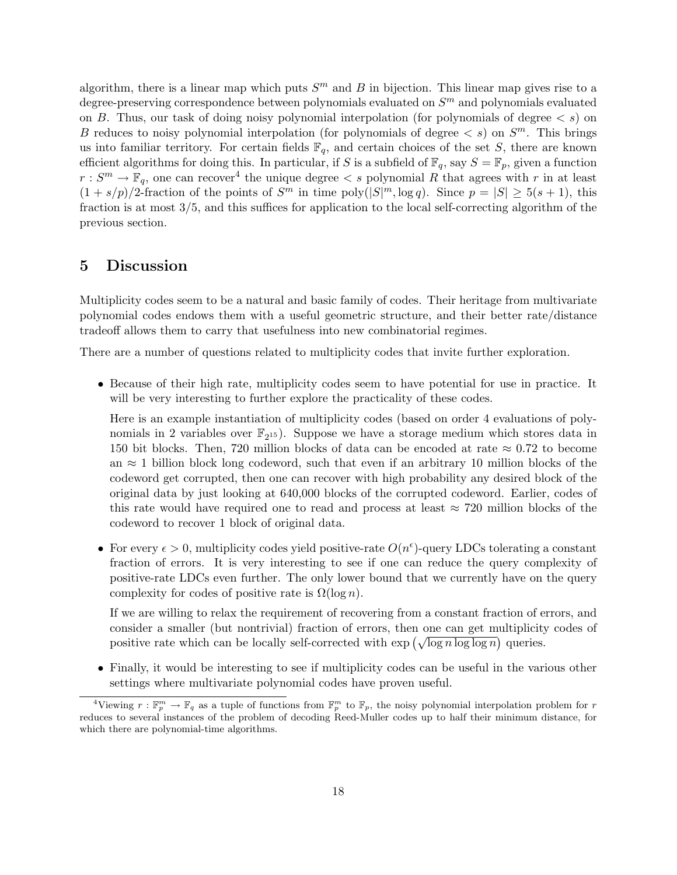algorithm, there is a linear map which puts  $S<sup>m</sup>$  and B in bijection. This linear map gives rise to a degree-preserving correspondence between polynomials evaluated on  $S<sup>m</sup>$  and polynomials evaluated on B. Thus, our task of doing noisy polynomial interpolation (for polynomials of degree  $\langle s \rangle$ ) on B reduces to noisy polynomial interpolation (for polynomials of degree  $\lt s$ ) on  $S^m$ . This brings us into familiar territory. For certain fields  $\mathbb{F}_q$ , and certain choices of the set S, there are known efficient algorithms for doing this. In particular, if S is a subfield of  $\mathbb{F}_q$ , say  $S = \mathbb{F}_p$ , given a function  $r: S^m \to \mathbb{F}_q$ , one can recover<sup>4</sup> the unique degree  $\lt s$  polynomial R that agrees with r in at least  $(1 + s/p)/2$ -fraction of the points of  $S<sup>m</sup>$  in time poly $(|S|<sup>m</sup>, \log q)$ . Since  $p = |S| \ge 5(s + 1)$ , this fraction is at most 3/5, and this suffices for application to the local self-correcting algorithm of the previous section.

# 5 Discussion

Multiplicity codes seem to be a natural and basic family of codes. Their heritage from multivariate polynomial codes endows them with a useful geometric structure, and their better rate/distance tradeoff allows them to carry that usefulness into new combinatorial regimes.

There are a number of questions related to multiplicity codes that invite further exploration.

• Because of their high rate, multiplicity codes seem to have potential for use in practice. It will be very interesting to further explore the practicality of these codes.

Here is an example instantiation of multiplicity codes (based on order 4 evaluations of polynomials in 2 variables over  $\mathbb{F}_{2^{15}}$ ). Suppose we have a storage medium which stores data in 150 bit blocks. Then, 720 million blocks of data can be encoded at rate  $\approx 0.72$  to become an  $\approx$  1 billion block long codeword, such that even if an arbitrary 10 million blocks of the codeword get corrupted, then one can recover with high probability any desired block of the original data by just looking at 640,000 blocks of the corrupted codeword. Earlier, codes of this rate would have required one to read and process at least  $\approx 720$  million blocks of the codeword to recover 1 block of original data.

• For every  $\epsilon > 0$ , multiplicity codes yield positive-rate  $O(n^{\epsilon})$ -query LDCs tolerating a constant fraction of errors. It is very interesting to see if one can reduce the query complexity of positive-rate LDCs even further. The only lower bound that we currently have on the query complexity for codes of positive rate is  $\Omega(\log n)$ .

If we are willing to relax the requirement of recovering from a constant fraction of errors, and consider a smaller (but nontrivial) fraction of errors, then one can get multiplicity codes of positive rate which can be locally self-corrected with  $\exp(\sqrt{\log n \log \log n})$  queries.

• Finally, it would be interesting to see if multiplicity codes can be useful in the various other settings where multivariate polynomial codes have proven useful.

<sup>&</sup>lt;sup>4</sup>Viewing  $r: \mathbb{F}_p^m \to \mathbb{F}_q$  as a tuple of functions from  $\mathbb{F}_p^m$  to  $\mathbb{F}_p$ , the noisy polynomial interpolation problem for r reduces to several instances of the problem of decoding Reed-Muller codes up to half their minimum distance, for which there are polynomial-time algorithms.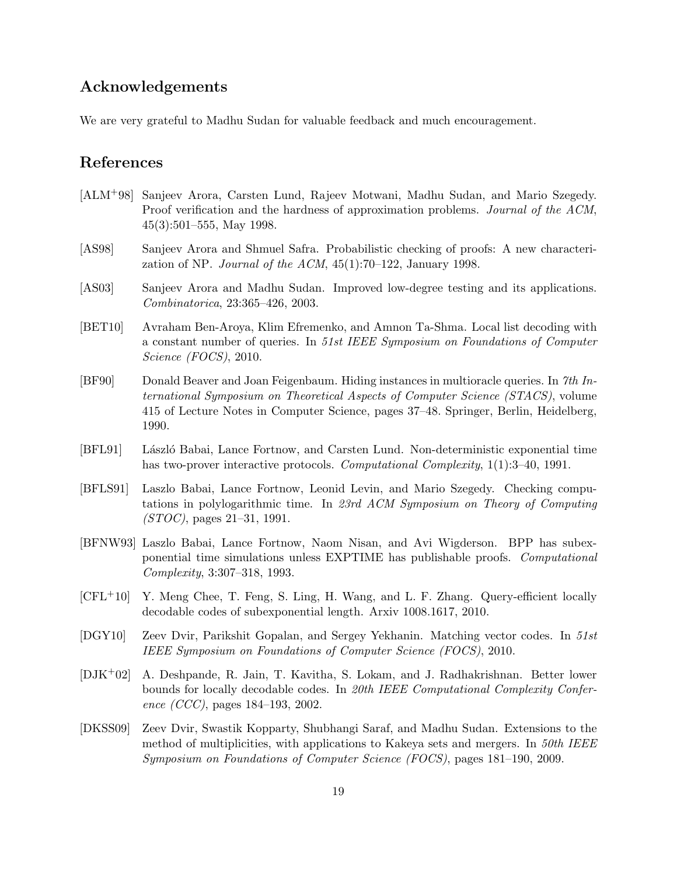# Acknowledgements

We are very grateful to Madhu Sudan for valuable feedback and much encouragement.

# References

- [ALM+98] Sanjeev Arora, Carsten Lund, Rajeev Motwani, Madhu Sudan, and Mario Szegedy. Proof verification and the hardness of approximation problems. Journal of the ACM, 45(3):501–555, May 1998.
- [AS98] Sanjeev Arora and Shmuel Safra. Probabilistic checking of proofs: A new characterization of NP. Journal of the  $ACM$ ,  $45(1)$ :70–122, January 1998.
- [AS03] Sanjeev Arora and Madhu Sudan. Improved low-degree testing and its applications. Combinatorica, 23:365–426, 2003.
- [BET10] Avraham Ben-Aroya, Klim Efremenko, and Amnon Ta-Shma. Local list decoding with a constant number of queries. In 51st IEEE Symposium on Foundations of Computer Science (FOCS), 2010.
- [BF90] Donald Beaver and Joan Feigenbaum. Hiding instances in multioracle queries. In 7th International Symposium on Theoretical Aspects of Computer Science (STACS), volume 415 of Lecture Notes in Computer Science, pages 37–48. Springer, Berlin, Heidelberg, 1990.
- [BFL91] László Babai, Lance Fortnow, and Carsten Lund. Non-deterministic exponential time has two-prover interactive protocols. Computational Complexity, 1(1):3–40, 1991.
- [BFLS91] Laszlo Babai, Lance Fortnow, Leonid Levin, and Mario Szegedy. Checking computations in polylogarithmic time. In 23rd ACM Symposium on Theory of Computing (STOC), pages 21–31, 1991.
- [BFNW93] Laszlo Babai, Lance Fortnow, Naom Nisan, and Avi Wigderson. BPP has subexponential time simulations unless EXPTIME has publishable proofs. Computational Complexity, 3:307–318, 1993.
- [CFL+10] Y. Meng Chee, T. Feng, S. Ling, H. Wang, and L. F. Zhang. Query-efficient locally decodable codes of subexponential length. Arxiv 1008.1617, 2010.
- [DGY10] Zeev Dvir, Parikshit Gopalan, and Sergey Yekhanin. Matching vector codes. In 51st IEEE Symposium on Foundations of Computer Science (FOCS), 2010.
- [DJK+02] A. Deshpande, R. Jain, T. Kavitha, S. Lokam, and J. Radhakrishnan. Better lower bounds for locally decodable codes. In 20th IEEE Computational Complexity Conference (CCC), pages 184–193, 2002.
- [DKSS09] Zeev Dvir, Swastik Kopparty, Shubhangi Saraf, and Madhu Sudan. Extensions to the method of multiplicities, with applications to Kakeya sets and mergers. In 50th IEEE Symposium on Foundations of Computer Science (FOCS), pages 181–190, 2009.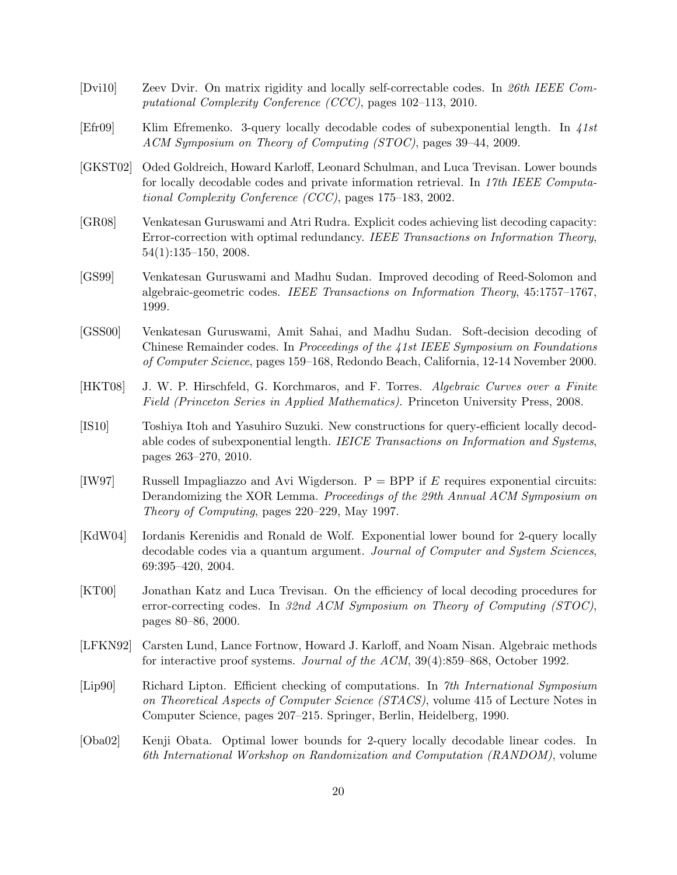- [Dvi10] Zeev Dvir. On matrix rigidity and locally self-correctable codes. In 26th IEEE Computational Complexity Conference (CCC), pages 102–113, 2010.
- [Efr09] Klim Efremenko. 3-query locally decodable codes of subexponential length. In 41st ACM Symposium on Theory of Computing (STOC), pages 39–44, 2009.
- [GKST02] Oded Goldreich, Howard Karloff, Leonard Schulman, and Luca Trevisan. Lower bounds for locally decodable codes and private information retrieval. In 17th IEEE Computational Complexity Conference (CCC), pages 175–183, 2002.
- [GR08] Venkatesan Guruswami and Atri Rudra. Explicit codes achieving list decoding capacity: Error-correction with optimal redundancy. IEEE Transactions on Information Theory, 54(1):135–150, 2008.
- [GS99] Venkatesan Guruswami and Madhu Sudan. Improved decoding of Reed-Solomon and algebraic-geometric codes. IEEE Transactions on Information Theory, 45:1757–1767, 1999.
- [GSS00] Venkatesan Guruswami, Amit Sahai, and Madhu Sudan. Soft-decision decoding of Chinese Remainder codes. In Proceedings of the 41st IEEE Symposium on Foundations of Computer Science, pages 159–168, Redondo Beach, California, 12-14 November 2000.
- [HKT08] J. W. P. Hirschfeld, G. Korchmaros, and F. Torres. Algebraic Curves over a Finite Field (Princeton Series in Applied Mathematics). Princeton University Press, 2008.
- [IS10] Toshiya Itoh and Yasuhiro Suzuki. New constructions for query-efficient locally decodable codes of subexponential length. IEICE Transactions on Information and Systems, pages 263–270, 2010.
- [IW97] Russell Impagliazzo and Avi Wigderson.  $P = BPP$  if E requires exponential circuits: Derandomizing the XOR Lemma. Proceedings of the 29th Annual ACM Symposium on Theory of Computing, pages 220–229, May 1997.
- [KdW04] Iordanis Kerenidis and Ronald de Wolf. Exponential lower bound for 2-query locally decodable codes via a quantum argument. Journal of Computer and System Sciences, 69:395–420, 2004.
- [KT00] Jonathan Katz and Luca Trevisan. On the efficiency of local decoding procedures for error-correcting codes. In 32nd ACM Symposium on Theory of Computing (STOC), pages 80–86, 2000.
- [LFKN92] Carsten Lund, Lance Fortnow, Howard J. Karloff, and Noam Nisan. Algebraic methods for interactive proof systems. Journal of the ACM, 39(4):859–868, October 1992.
- [Lip90] Richard Lipton. Efficient checking of computations. In 7th International Symposium on Theoretical Aspects of Computer Science (STACS), volume 415 of Lecture Notes in Computer Science, pages 207–215. Springer, Berlin, Heidelberg, 1990.
- [Oba02] Kenji Obata. Optimal lower bounds for 2-query locally decodable linear codes. In 6th International Workshop on Randomization and Computation (RANDOM), volume